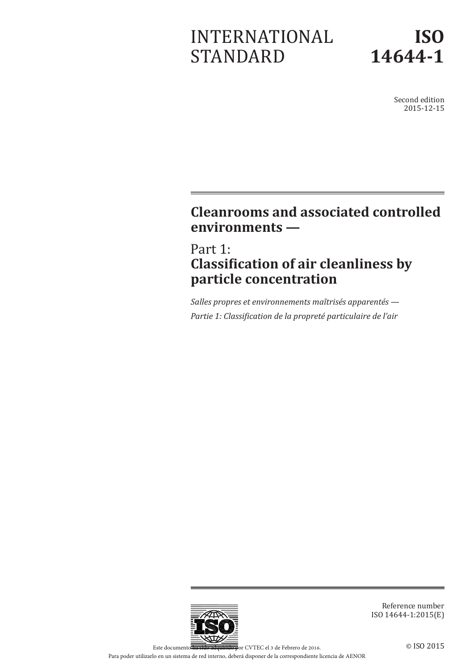# INTERNATIONAL STANDARD



Second edition 2015-12-15

## **Cleanrooms and associated controlled environments —**

Part 1: **Classification of air cleanliness by particle concentration**

*Salles propres et environnements maîtrisés apparentés — Partie 1: Classification de la propreté particulaire de l'air*



Reference number ISO 14644-1:2015(E)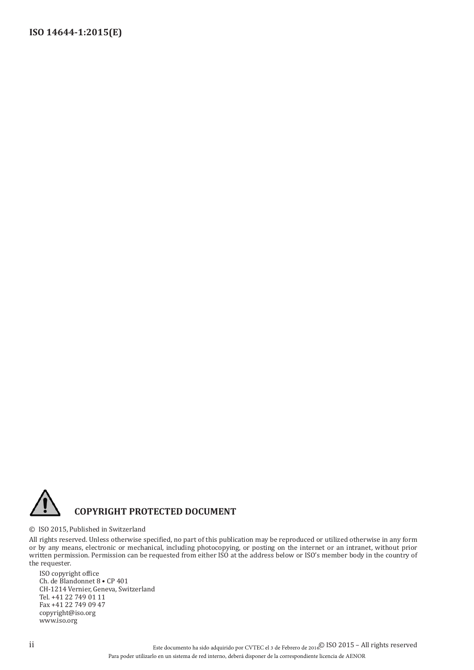

#### © ISO 2015, Published in Switzerland

All rights reserved. Unless otherwise specified, no part of this publication may be reproduced or utilized otherwise in any form or by any means, electronic or mechanical, including photocopying, or posting on the internet or an intranet, without prior written permission. Permission can be requested from either ISO at the address below or ISO's member body in the country of the requester.

ISO copyright office Ch. de Blandonnet 8 • CP 401 CH-1214 Vernier, Geneva, Switzerland Tel. +41 22 749 01 11 Fax +41 22 749 09 47 copyright@iso.org www.iso.org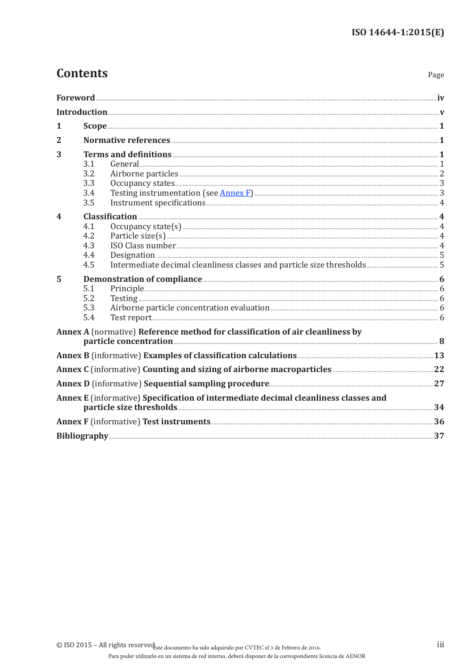## **Contents**

| ٠<br>۰,<br>× |
|--------------|
|--------------|

| 1            |                                                                                                                                                                                                        |  |
|--------------|--------------------------------------------------------------------------------------------------------------------------------------------------------------------------------------------------------|--|
| $\mathbf{2}$ |                                                                                                                                                                                                        |  |
| 3            | 3.1<br>3.2<br>3.3<br>Testing instrumentation (see Annex F) <b>Example 2018</b> 2014 12:33<br>3.4<br>3.5                                                                                                |  |
| 4            | $\textbf{Classification} \text{ \dots } \text{4}$<br>4.1<br>4.2<br>ISO Class number 2014 and 2015 and 2016 and 2016 and 2017 and 2018 and 2018 and 2018 and 2018 and 2018 and 201<br>4.3<br>4.4<br>4.5 |  |
| 5            | Demonstration of compliance <b>Election</b> 6<br>5.1<br>5.2<br>5.3<br>5.4                                                                                                                              |  |
|              | Annex A (normative) Reference method for classification of air cleanliness by                                                                                                                          |  |
|              |                                                                                                                                                                                                        |  |
|              | Annex C (informative) Counting and sizing of airborne macroparticles <b>Manual Annex C</b> (informative) Counting and sizing of airborne macroparticles <b>Manual Annual Annual Annual</b> 22          |  |
|              |                                                                                                                                                                                                        |  |
|              | Annex E (informative) Specification of intermediate decimal cleanliness classes and                                                                                                                    |  |
|              |                                                                                                                                                                                                        |  |
|              |                                                                                                                                                                                                        |  |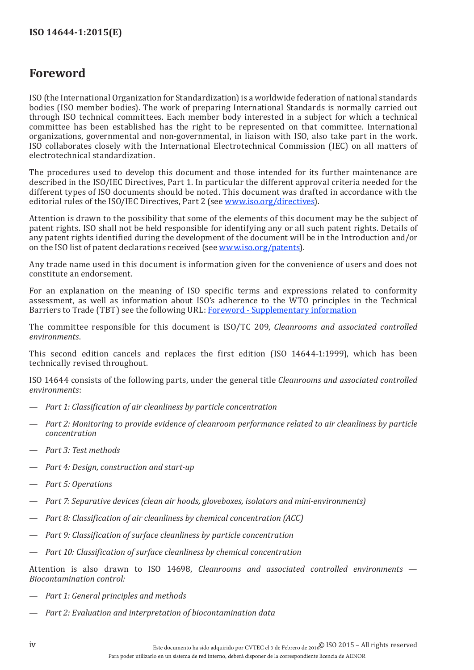## <span id="page-3-0"></span>**Foreword**

ISO (the International Organization for Standardization) is a worldwide federation of national standards bodies (ISO member bodies). The work of preparing International Standards is normally carried out through ISO technical committees. Each member body interested in a subject for which a technical committee has been established has the right to be represented on that committee. International organizations, governmental and non-governmental, in liaison with ISO, also take part in the work. ISO collaborates closely with the International Electrotechnical Commission (IEC) on all matters of electrotechnical standardization.

The procedures used to develop this document and those intended for its further maintenance are described in the ISO/IEC Directives, Part 1. In particular the different approval criteria needed for the different types of ISO documents should be noted. This document was drafted in accordance with the editorial rules of the ISO/IEC Directives, Part 2 (see [www.iso.org/directives\)](http://www.iso.org/directives).

Attention is drawn to the possibility that some of the elements of this document may be the subject of patent rights. ISO shall not be held responsible for identifying any or all such patent rights. Details of any patent rights identified during the development of the document will be in the Introduction and/or on the ISO list of patent declarations received (see [www.iso.org/patents](http://www.iso.org/patents)).

Any trade name used in this document is information given for the convenience of users and does not constitute an endorsement.

For an explanation on the meaning of ISO specific terms and expressions related to conformity assessment, as well as information about ISO's adherence to the WTO principles in the Technical Barriers to Trade (TBT) see the following URL: [Foreword - Supplementary information](http://www.iso.org/iso/home/standards_development/resources-for-technical-work/foreword.htm)

The committee responsible for this document is ISO/TC 209, *Cleanrooms and associated controlled environments*.

This second edition cancels and replaces the first edition (ISO 14644-1:1999), which has been technically revised throughout.

ISO 14644 consists of the following parts, under the general title *Cleanrooms and associated controlled environments*:

- *Part 1: Classification of air cleanliness by particle concentration*
- *Part 2: Monitoring to provide evidence of cleanroom performance related to air cleanliness by particle concentration*
- *Part 3: Test methods*
- *Part 4: Design, construction and start-up*
- *Part 5: Operations*
- *Part 7: Separative devices (clean air hoods, gloveboxes, isolators and mini-environments)*
- *Part 8: Classification of air cleanliness by chemical concentration (ACC)*
- *Part 9: Classification of surface cleanliness by particle concentration*
- *Part 10: Classification of surface cleanliness by chemical concentration*

Attention is also drawn to ISO 14698, *Cleanrooms and associated controlled environments* — *Biocontamination control:*

- *Part 1: General principles and methods*
- *Part 2: Evaluation and interpretation of biocontamination data*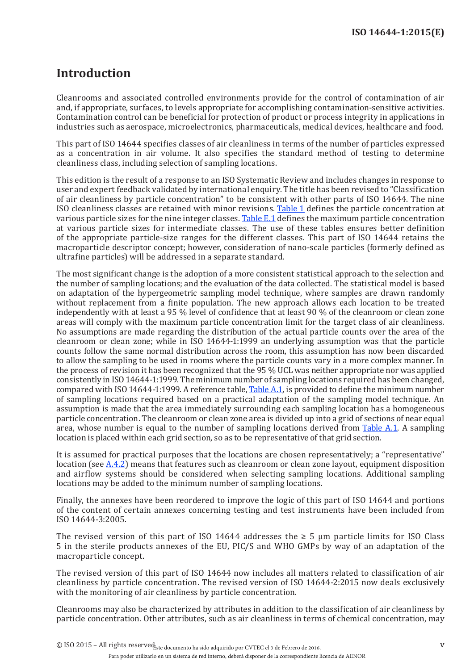## <span id="page-4-0"></span>**Introduction**

Cleanrooms and associated controlled environments provide for the control of contamination of air and, if appropriate, surfaces, to levels appropriate for accomplishing contamination-sensitive activities. Contamination control can be beneficial for protection of product or process integrity in applications in industries such as aerospace, microelectronics, pharmaceuticals, medical devices, healthcare and food.

This part of ISO 14644 specifies classes of air cleanliness in terms of the number of particles expressed as a concentration in air volume. It also specifies the standard method of testing to determine cleanliness class, including selection of sampling locations.

This edition is the result of a response to an ISO Systematic Review and includes changes in response to user and expert feedback validated by international enquiry. The title has been revised to "Classification of air cleanliness by particle concentration" to be consistent with other parts of ISO 14644. The nine ISO cleanliness classes are retained with minor revisions. [Table](#page-10-1) 1 defines the particle concentration at various particle sizes for the nine integer classes. [Table](#page-39-1) E.1 defines the maximum particle concentration at various particle sizes for intermediate classes. The use of these tables ensures better definition of the appropriate particle-size ranges for the different classes. This part of ISO 14644 retains the macroparticle descriptor concept; however, consideration of nano-scale particles (formerly defined as ultrafine particles) will be addressed in a separate standard.

The most significant change is the adoption of a more consistent statistical approach to the selection and the number of sampling locations; and the evaluation of the data collected. The statistical model is based on adaptation of the hypergeometric sampling model technique, where samples are drawn randomly without replacement from a finite population. The new approach allows each location to be treated independently with at least a 95 % level of confidence that at least 90 % of the cleanroom or clean zone areas will comply with the maximum particle concentration limit for the target class of air cleanliness. No assumptions are made regarding the distribution of the actual particle counts over the area of the cleanroom or clean zone; while in ISO 14644-1:1999 an underlying assumption was that the particle counts follow the same normal distribution across the room, this assumption has now been discarded to allow the sampling to be used in rooms where the particle counts vary in a more complex manner. In the process of revision it has been recognized that the 95 % UCL was neither appropriate nor was applied consistently in ISO14644-1:1999. The minimum number of sampling locations required has been changed, compared with ISO 14644-1:1999. A reference table, [Table](#page-14-0) A.1, is provided to define the minimum number of sampling locations required based on a practical adaptation of the sampling model technique. An assumption is made that the area immediately surrounding each sampling location has a homogeneous particle concentration. The cleanroom or clean zone area is divided up into a grid of sections of near equal area, whose number is equal to the number of sampling locations derived from [Table](#page-14-0) A.1. A sampling location is placed within each grid section, so as to be representative of that grid section.

It is assumed for practical purposes that the locations are chosen representatively; a "representative" location (see [A.4.2](#page-14-1)) means that features such as cleanroom or clean zone layout, equipment disposition and airflow systems should be considered when selecting sampling locations. Additional sampling locations may be added to the minimum number of sampling locations.

Finally, the annexes have been reordered to improve the logic of this part of ISO 14644 and portions of the content of certain annexes concerning testing and test instruments have been included from ISO 14644-3:2005.

The revised version of this part of ISO 14644 addresses the  $\geq$  5 µm particle limits for ISO Class 5 in the sterile products annexes of the EU, PIC/S and WHO GMPs by way of an adaptation of the macroparticle concept.

The revised version of this part of ISO 14644 now includes all matters related to classification of air cleanliness by particle concentration. The revised version of ISO 14644-2:2015 now deals exclusively with the monitoring of air cleanliness by particle concentration.

Cleanrooms may also be characterized by attributes in addition to the classification of air cleanliness by particle concentration. Other attributes, such as air cleanliness in terms of chemical concentration, may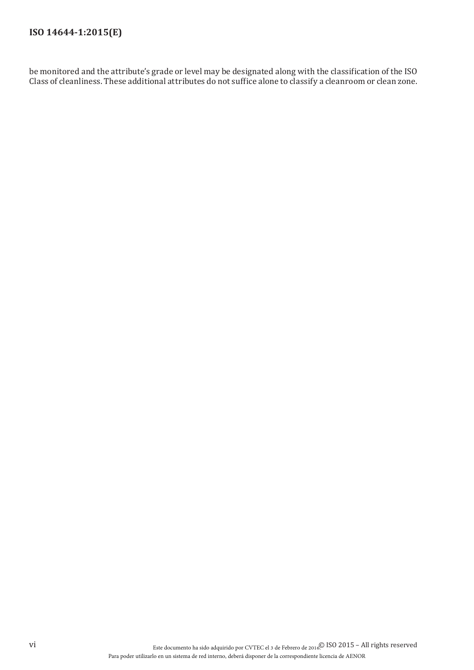## **ISO 14644-1:2015(E)**

be monitored and the attribute's grade or level may be designated along with the classification of the ISO Class of cleanliness. These additional attributes do not suffice alone to classify a cleanroom or clean zone.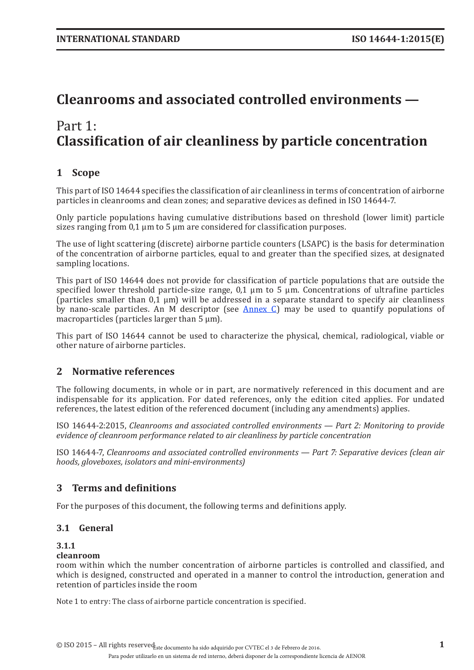## <span id="page-6-0"></span>**Cleanrooms and associated controlled environments —**

## Part 1: **Classification of air cleanliness by particle concentration**

## **1 Scope**

This part of ISO 14644 specifies the classification of air cleanliness in terms of concentration of airborne particles in cleanrooms and clean zones; and separative devices as defined in ISO 14644-7.

Only particle populations having cumulative distributions based on threshold (lower limit) particle sizes ranging from  $0.1 \mu m$  to 5  $\mu m$  are considered for classification purposes.

The use of light scattering (discrete) airborne particle counters (LSAPC) is the basis for determination of the concentration of airborne particles, equal to and greater than the specified sizes, at designated sampling locations.

This part of ISO 14644 does not provide for classification of particle populations that are outside the specified lower threshold particle-size range,  $0,1 \mu m$  to 5  $\mu m$ . Concentrations of ultrafine particles (particles smaller than  $0,1 \mu m$ ) will be addressed in a separate standard to specify air cleanliness by nano-scale particles. An M descriptor (see [Annex](#page-27-1) C) may be used to quantify populations of macroparticles (particles larger than 5  $\mu$ m).

This part of ISO 14644 cannot be used to characterize the physical, chemical, radiological, viable or other nature of airborne particles.

### **2 Normative references**

The following documents, in whole or in part, are normatively referenced in this document and are indispensable for its application. For dated references, only the edition cited applies. For undated references, the latest edition of the referenced document (including any amendments) applies.

ISO 14644-2:2015, *Cleanrooms and associated controlled environments — Part 2: Monitoring to provide evidence of cleanroom performance related to air cleanliness by particle concentration*

ISO 14644-7, *Cleanrooms and associated controlled environments — Part 7: Separative devices (clean air hoods, gloveboxes, isolators and mini-environments)*

### <span id="page-6-1"></span>**3 Terms and definitions**

For the purposes of this document, the following terms and definitions apply.

#### **3.1 General**

#### **3.1.1**

#### **cleanroom**

room within which the number concentration of airborne particles is controlled and classified, and which is designed, constructed and operated in a manner to control the introduction, generation and retention of particles inside the room

Note 1 to entry: The class of airborne particle concentration is specified.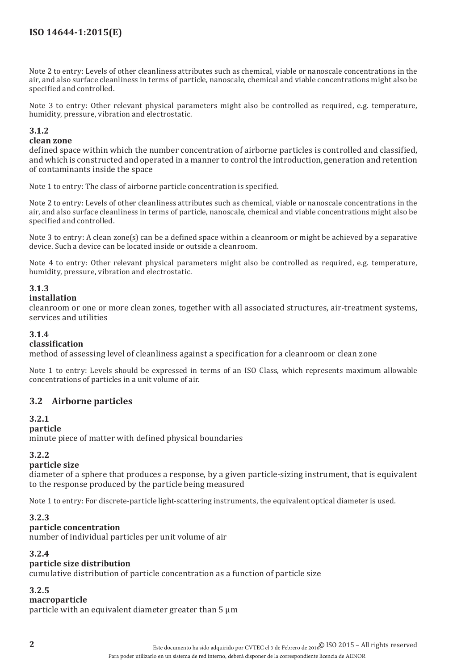<span id="page-7-0"></span>Note 2 to entry: Levels of other cleanliness attributes such as chemical, viable or nanoscale concentrations in the air, and also surface cleanliness in terms of particle, nanoscale, chemical and viable concentrations might also be specified and controlled.

Note 3 to entry: Other relevant physical parameters might also be controlled as required, e.g. temperature, humidity, pressure, vibration and electrostatic.

#### **3.1.2**

#### **clean zone**

defined space within which the number concentration of airborne particles is controlled and classified, and which is constructed and operated in a manner to control the introduction, generation and retention of contaminants inside the space

Note 1 to entry: The class of airborne particle concentration is specified.

Note 2 to entry: Levels of other cleanliness attributes such as chemical, viable or nanoscale concentrations in the air, and also surface cleanliness in terms of particle, nanoscale, chemical and viable concentrations might also be specified and controlled.

Note 3 to entry: A clean zone(s) can be a defined space within a cleanroom or might be achieved by a separative device. Such a device can be located inside or outside a cleanroom.

Note 4 to entry: Other relevant physical parameters might also be controlled as required, e.g. temperature, humidity, pressure, vibration and electrostatic.

#### **3.1.3**

#### **installation**

cleanroom or one or more clean zones, together with all associated structures, air-treatment systems, services and utilities

#### **3.1.4**

#### **classification**

method of assessing level of cleanliness against a specification for a cleanroom or clean zone

Note 1 to entry: Levels should be expressed in terms of an ISO Class, which represents maximum allowable concentrations of particles in a unit volume of air.

#### **3.2 Airborne particles**

#### **3.2.1**

#### **particle**

minute piece of matter with defined physical boundaries

#### **3.2.2**

#### **particle size**

diameter of a sphere that produces a response, by a given particle-sizing instrument, that is equivalent to the response produced by the particle being measured

Note 1 to entry: For discrete-particle light-scattering instruments, the equivalent optical diameter is used.

#### **3.2.3**

#### **particle concentration**

number of individual particles per unit volume of air

#### **3.2.4**

#### **particle size distribution**

cumulative distribution of particle concentration as a function of particle size

#### **3.2.5**

#### **macroparticle**

particle with an equivalent diameter greater than 5 µm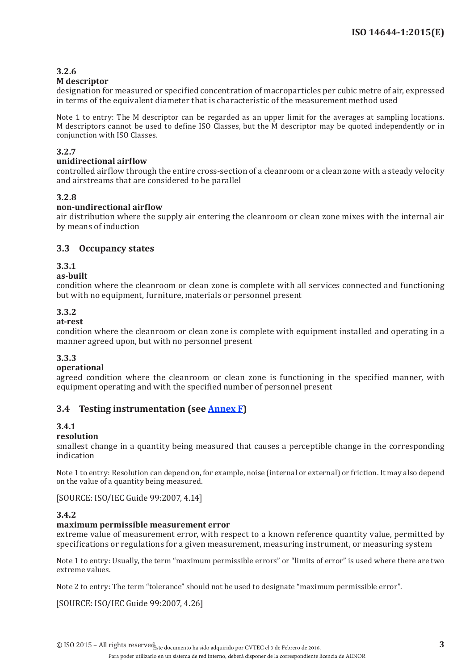## <span id="page-8-0"></span>**3.2.6**

#### **M descriptor**

designation for measured or specified concentration of macroparticles per cubic metre of air, expressed in terms of the equivalent diameter that is characteristic of the measurement method used

Note 1 to entry: The M descriptor can be regarded as an upper limit for the averages at sampling locations. M descriptors cannot be used to define ISO Classes, but the M descriptor may be quoted independently or in conjunction with ISO Classes.

#### **3.2.7**

#### **unidirectional airflow**

controlled airflow through the entire cross-section of a cleanroom or a clean zone with a steady velocity and airstreams that are considered to be parallel

#### **3.2.8**

#### **non-undirectional airflow**

air distribution where the supply air entering the cleanroom or clean zone mixes with the internal air by means of induction

#### <span id="page-8-1"></span>**3.3 Occupancy states**

#### **3.3.1**

#### **as-built**

condition where the cleanroom or clean zone is complete with all services connected and functioning but with no equipment, furniture, materials or personnel present

#### **3.3.2**

#### **at-rest**

condition where the cleanroom or clean zone is complete with equipment installed and operating in a manner agreed upon, but with no personnel present

#### **3.3.3**

#### **operational**

agreed condition where the cleanroom or clean zone is functioning in the specified manner, with equipment operating and with the specified number of personnel present

#### **3.4 Testing instrumentation (see [Annex](#page-41-1) F)**

#### **3.4.1**

#### **resolution**

smallest change in a quantity being measured that causes a perceptible change in the corresponding indication

Note 1 to entry: Resolution can depend on, for example, noise (internal or external) or friction. It may also depend on the value of a quantity being measured.

#### [SOURCE: ISO/IEC Guide 99:2007, 4.14]

#### **3.4.2**

#### **maximum permissible measurement error**

extreme value of measurement error, with respect to a known reference quantity value, permitted by specifications or regulations for a given measurement, measuring instrument, or measuring system

Note 1 to entry: Usually, the term "maximum permissible errors" or "limits of error" is used where there are two extreme values.

Note 2 to entry: The term "tolerance" should not be used to designate "maximum permissible error".

[SOURCE: ISO/IEC Guide 99:2007, 4.26]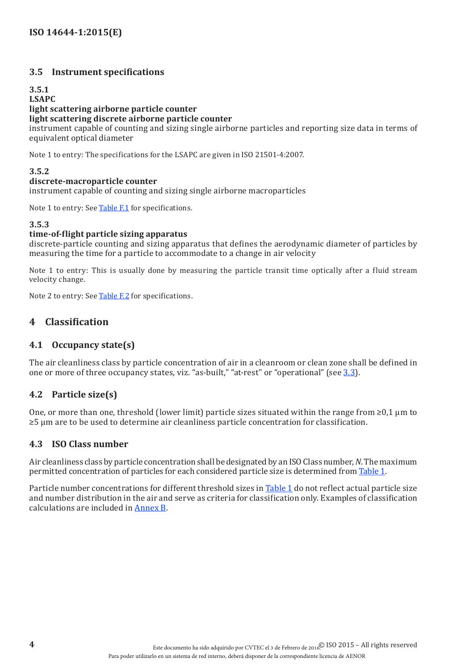#### <span id="page-9-0"></span>**3.5 Instrument specifications**

#### **3.5.1 LSAPC**

## **light scattering airborne particle counter light scattering discrete airborne particle counter**

instrument capable of counting and sizing single airborne particles and reporting size data in terms of equivalent optical diameter

Note 1 to entry: The specifications for the LSAPC are given in ISO 21501-4:2007.

#### **3.5.2**

#### **discrete-macroparticle counter**

instrument capable of counting and sizing single airborne macroparticles

Note 1 to entry: See [Table](#page-41-2) F.1 for specifications.

#### **3.5.3**

#### **time-of-flight particle sizing apparatus**

discrete-particle counting and sizing apparatus that defines the aerodynamic diameter of particles by measuring the time for a particle to accommodate to a change in air velocity

Note 1 to entry: This is usually done by measuring the particle transit time optically after a fluid stream velocity change.

Note 2 to entry: See [Table](#page-41-3) F.2 for specifications.

## **4 Classification**

#### **4.1 Occupancy state(s)**

The air cleanliness class by particle concentration of air in a cleanroom or clean zone shall be defined in one or more of three occupancy states, viz. "as-built," "at-rest" or "operational" (see [3.3](#page-8-1)).

#### **4.2 Particle size(s)**

One, or more than one, threshold (lower limit) particle sizes situated within the range from  $\geq 0.1$  µm to ≥5 µm are to be used to determine air cleanliness particle concentration for classification.

#### **4.3 ISO Class number**

Air cleanliness class by particle concentration shall be designated by an ISO Class number, *N*. The maximum permitted concentration of particles for each considered particle size is determined from [Table](#page-10-1) 1.

Particle number concentrations for different threshold sizes in [Table](#page-10-1) 1 do not reflect actual particle size and number distribution in the air and serve as criteria for classification only. Examples of classification calculations are included in [Annex](#page-18-1) B.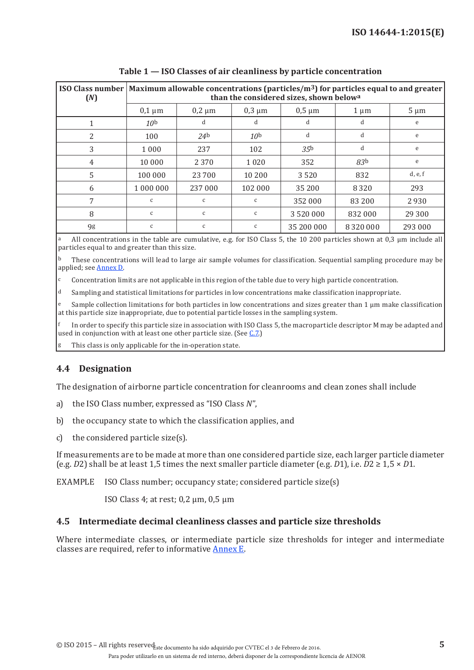<span id="page-10-0"></span>

| (N)            | ISO Class number   Maximum allowable concentrations (particles/ $\text{m}^3$ ) for particles equal to and greater<br>than the considered sizes, shown belowa |                 |                 |                 |                 |           |  |  |
|----------------|--------------------------------------------------------------------------------------------------------------------------------------------------------------|-----------------|-----------------|-----------------|-----------------|-----------|--|--|
|                | $0,1 \mu m$                                                                                                                                                  | $0,2 \mu m$     | $0,3 \mu m$     | $0,5 \mu m$     | $1 \mu m$       | $5 \mu m$ |  |  |
|                | 10 <sup>b</sup>                                                                                                                                              | d               | d               | d               | d               | e         |  |  |
| $\overline{2}$ | 100                                                                                                                                                          | 24 <sup>b</sup> | 10 <sup>b</sup> | d               | d               | e         |  |  |
| 3              | 1 0 0 0                                                                                                                                                      | 237             | 102             | 35 <sup>b</sup> | d               | e         |  |  |
| 4              | 10 000                                                                                                                                                       | 2 3 7 0         | 1 0 2 0         | 352             | 83 <sub>b</sub> | e         |  |  |
| 5              | 100 000                                                                                                                                                      | 23 700          | 10 200          | 3520            | 832             | d, e, f   |  |  |
| 6              | 1 000 000                                                                                                                                                    | 237 000         | 102 000         | 35 200          | 8 3 2 0         | 293       |  |  |
| 7              | $\mathsf C$                                                                                                                                                  | $\mathsf{C}$    | C               | 352 000         | 83 200          | 2930      |  |  |
| 8              | $\mathsf{C}$                                                                                                                                                 | $\mathsf{C}$    | $\mathsf{C}$    | 3 520 000       | 832 000         | 29 300    |  |  |
| 9g             | C                                                                                                                                                            | C               | c               | 35 200 000      | 8 3 2 0 0 0 0   | 293 000   |  |  |

<span id="page-10-1"></span>**Table 1 — ISO Classes of air cleanliness by particle concentration**

All concentrations in the table are cumulative, e.g. for ISO Class 5, the 10 200 particles shown at 0,3 µm include all particles equal to and greater than this size.

 $\overline{b}$  These concentrations will lead to large air sample volumes for classification. Sequential sampling procedure may be applied; see [Annex](#page-32-1) D.

c Concentration limits are not applicable in this region of the table due to very high particle concentration.

 $\frac{d}{dx}$  Sampling and statistical limitations for particles in low concentrations make classification inappropriate.

e Sample collection limitations for both particles in low concentrations and sizes greater than 1 μm make classification at this particle size inappropriate, due to potential particle losses in the sampling system.

f In order to specify this particle size in association with ISO Class 5, the macroparticle descriptor M may be adapted and used in conjunction with at least one other particle size. (See [C.7.](#page-31-0))

This class is only applicable for the in-operation state.

### **4.4 Designation**

The designation of airborne particle concentration for cleanrooms and clean zones shall include

- a) the ISO Class number, expressed as "ISO Class *N*",
- b) the occupancy state to which the classification applies, and
- c) the considered particle size(s).

If measurements are to be made at more than one considered particle size, each larger particle diameter (e.g. *D*2) shall be at least 1,5 times the next smaller particle diameter (e.g. *D*1), i.e.  $D2 \ge 1.5 \times D1$ .

EXAMPLE ISO Class number; occupancy state; considered particle size(s)

ISO Class 4; at rest; 0,2 µm, 0,5 µm

#### **4.5 Intermediate decimal cleanliness classes and particle size thresholds**

Where intermediate classes, or intermediate particle size thresholds for integer and intermediate classes are required, refer to informative [Annex](#page-39-2) E.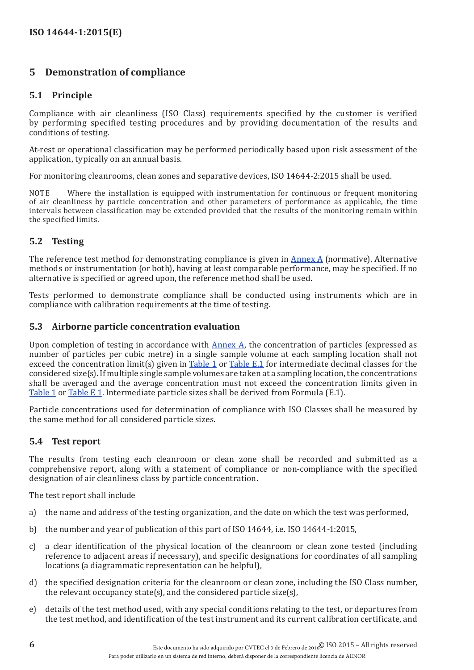## <span id="page-11-0"></span>**5 Demonstration of compliance**

#### <span id="page-11-2"></span>**5.1 Principle**

Compliance with air cleanliness (ISO Class) requirements specified by the customer is verified by performing specified testing procedures and by providing documentation of the results and conditions of testing.

At-rest or operational classification may be performed periodically based upon risk assessment of the application, typically on an annual basis.

For monitoring cleanrooms, clean zones and separative devices, ISO 14644-2:2015 shall be used.

NOTE Where the installation is equipped with instrumentation for continuous or frequent monitoring of air cleanliness by particle concentration and other parameters of performance as applicable, the time intervals between classification may be extended provided that the results of the monitoring remain within the specified limits.

#### <span id="page-11-3"></span>**5.2 Testing**

The reference test method for demonstrating compliance is given in [Annex](#page-13-1) A (normative). Alternative methods or instrumentation (or both), having at least comparable performance, may be specified. If no alternative is specified or agreed upon, the reference method shall be used.

Tests performed to demonstrate compliance shall be conducted using instruments which are in compliance with calibration requirements at the time of testing.

#### **5.3 Airborne particle concentration evaluation**

Upon completion of testing in accordance with  $\frac{\text{Annex A}}{\text{Annex A}}$  $\frac{\text{Annex A}}{\text{Annex A}}$  $\frac{\text{Annex A}}{\text{Annex A}}$ , the concentration of particles (expressed as number of particles per cubic metre) in a single sample volume at each sampling location shall not exceed the concentration limit(s) given in [Table](#page-10-1) 1 or [Table](#page-39-1) E.1 for intermediate decimal classes for the considered size(s). If multiple single sample volumes are taken at a sampling location, the concentrations shall be averaged and the average concentration must not exceed the concentration limits given in [Table](#page-10-1) 1 or [Table](#page-10-1) E 1. Intermediate particle sizes shall be derived from Formula (E.1).

Particle concentrations used for determination of compliance with ISO Classes shall be measured by the same method for all considered particle sizes.

#### <span id="page-11-1"></span>**5.4 Test report**

The results from testing each cleanroom or clean zone shall be recorded and submitted as a comprehensive report, along with a statement of compliance or non-compliance with the specified designation of air cleanliness class by particle concentration.

The test report shall include

- a) the name and address of the testing organization, and the date on which the test was performed,
- b) the number and year of publication of this part of ISO 14644, i.e. ISO 14644-1:2015,
- c) a clear identification of the physical location of the cleanroom or clean zone tested (including reference to adjacent areas if necessary), and specific designations for coordinates of all sampling locations (a diagrammatic representation can be helpful),
- d) the specified designation criteria for the cleanroom or clean zone, including the ISO Class number, the relevant occupancy state(s), and the considered particle size(s),
- e) details of the test method used, with any special conditions relating to the test, or departures from the test method, and identification of the test instrument and its current calibration certificate, and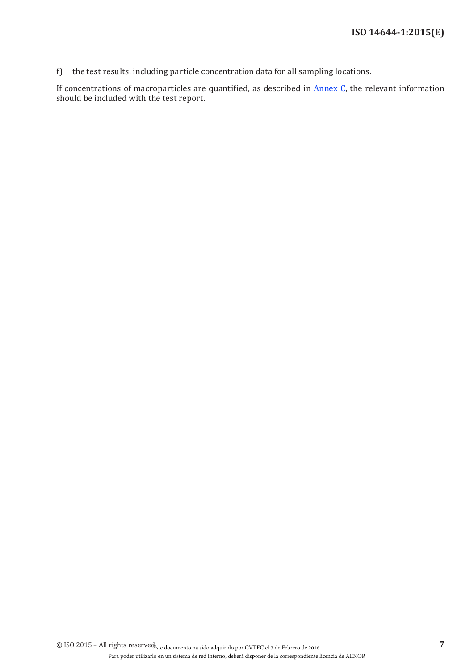f) the test results, including particle concentration data for all sampling locations.

If concentrations of macroparticles are quantified, as described in **[Annex](#page-27-1) C**, the relevant information should be included with the test report.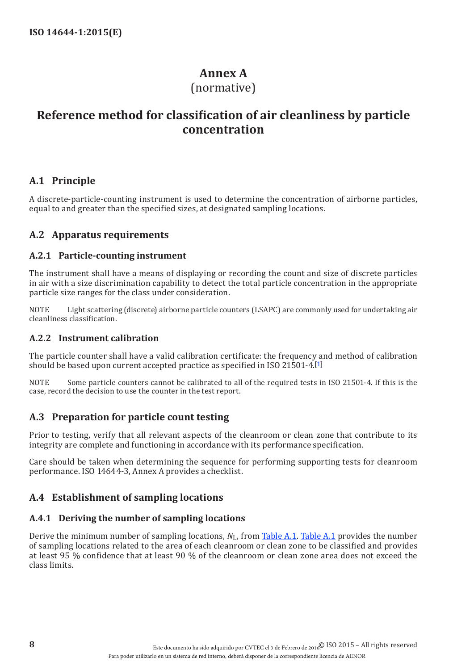## <span id="page-13-1"></span>**Annex A**

## (normative)

## <span id="page-13-0"></span>**Reference method for classification of air cleanliness by particle concentration**

### **A.1 Principle**

A discrete-particle-counting instrument is used to determine the concentration of airborne particles, equal to and greater than the specified sizes, at designated sampling locations.

## <span id="page-13-2"></span>**A.2 Apparatus requirements**

#### **A.2.1 Particle-counting instrument**

The instrument shall have a means of displaying or recording the count and size of discrete particles in air with a size discrimination capability to detect the total particle concentration in the appropriate particle size ranges for the class under consideration.

NOTE Light scattering (discrete) airborne particle counters (LSAPC) are commonly used for undertaking air cleanliness classification.

#### **A.2.2 Instrument calibration**

The particle counter shall have a valid calibration certificate: the frequency and method of calibration should be based upon current accepted practice as specified in ISO 21501-4.[\[1\]](#page-42-1)

NOTE Some particle counters cannot be calibrated to all of the required tests in ISO 21501-4. If this is the case, record the decision to use the counter in the test report.

### **A.3 Preparation for particle count testing**

Prior to testing, verify that all relevant aspects of the cleanroom or clean zone that contribute to its integrity are complete and functioning in accordance with its performance specification.

Care should be taken when determining the sequence for performing supporting tests for cleanroom performance. ISO 14644-3, Annex A provides a checklist.

## <span id="page-13-3"></span>**A.4 Establishment of sampling locations**

### **A.4.1 Deriving the number of sampling locations**

Derive the minimum number of sampling locations, *N*L, from [Table](#page-14-0) A.1. [Table](#page-14-0) A.1 provides the number of sampling locations related to the area of each cleanroom or clean zone to be classified and provides at least 95 % confidence that at least 90 % of the cleanroom or clean zone area does not exceed the class limits.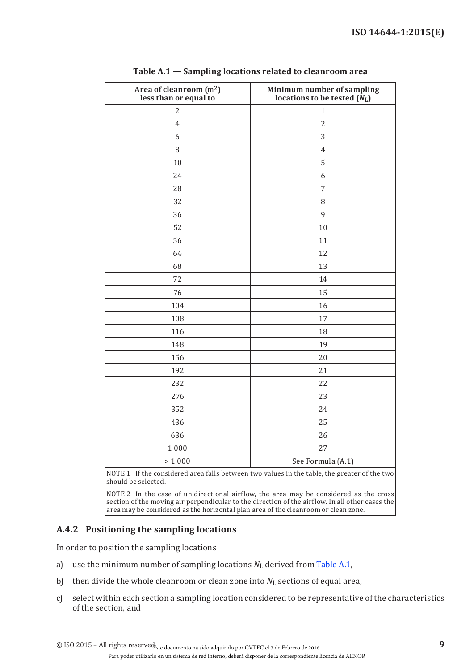| Area of cleanroom (m <sup>2</sup> )<br>less than or equal to | Minimum number of sampling<br>locations to be tested $(N_L)$ |
|--------------------------------------------------------------|--------------------------------------------------------------|
| $\overline{c}$                                               | $\mathbf{1}$                                                 |
| $\overline{4}$                                               | $\overline{2}$                                               |
| 6                                                            | 3                                                            |
| 8                                                            | $\overline{4}$                                               |
| $10\,$                                                       | 5                                                            |
| 24                                                           | 6                                                            |
| 28                                                           | 7                                                            |
| 32                                                           | 8                                                            |
| 36                                                           | 9                                                            |
| 52                                                           | 10                                                           |
| 56                                                           | 11                                                           |
| 64                                                           | 12                                                           |
| 68                                                           | 13                                                           |
| 72                                                           | 14                                                           |
| 76                                                           | 15                                                           |
| 104                                                          | 16                                                           |
| 108                                                          | 17                                                           |
| 116                                                          | 18                                                           |
| 148                                                          | 19                                                           |
| 156                                                          | 20                                                           |
| 192                                                          | 21                                                           |
| 232                                                          | 22                                                           |
| 276                                                          | 23                                                           |
| 352                                                          | 24                                                           |
| 436                                                          | 25                                                           |
| 636                                                          | 26                                                           |
| 1000                                                         | 27                                                           |
| > 1000                                                       | See Formula (A.1)                                            |

<span id="page-14-0"></span>

|  |  | Table A.1 - Sampling locations related to cleanroom area |  |
|--|--|----------------------------------------------------------|--|
|  |  |                                                          |  |

NOTE 1 If the considered area falls between two values in the table, the greater of the two should be selected.

NOTE 2 In the case of unidirectional airflow, the area may be considered as the cross section of the moving air perpendicular to the direction of the airflow. In all other cases the area may be considered as the horizontal plan area of the cleanroom or clean zone.

### <span id="page-14-1"></span>**A.4.2 Positioning the sampling locations**

In order to position the sampling locations

- a) use the minimum number of sampling locations  $N_L$  derived from [Table](#page-14-0) A.1,
- b) then divide the whole cleanroom or clean zone into  $N_L$  sections of equal area,
- c) select within each section a sampling location considered to be representative of the characteristics of the section, and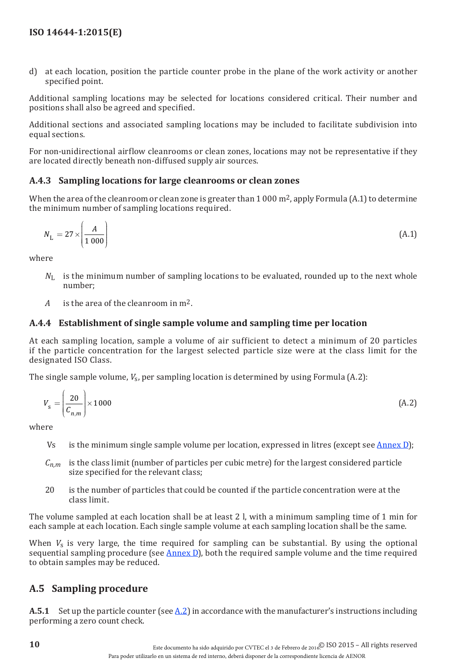d) at each location, position the particle counter probe in the plane of the work activity or another specified point.

Additional sampling locations may be selected for locations considered critical. Their number and positions shall also be agreed and specified.

Additional sections and associated sampling locations may be included to facilitate subdivision into equal sections.

For non-unidirectional airflow cleanrooms or clean zones, locations may not be representative if they are located directly beneath non-diffused supply air sources.

#### **A.4.3 Sampling locations for large cleanrooms or clean zones**

When the area of the cleanroom or clean zone is greater than  $1000 \,\mathrm{m}^2$ , apply Formula (A.1) to determine the minimum number of sampling locations required.

$$
N_{\rm L} = 27 \times \left(\frac{A}{1\ 000}\right) \tag{A.1}
$$

where

- *N*<sub>L</sub> is the minimum number of sampling locations to be evaluated, rounded up to the next whole number;
- *A* is the area of the cleanroom in m2.

#### <span id="page-15-0"></span>**A.4.4 Establishment of single sample volume and sampling time per location**

At each sampling location, sample a volume of air sufficient to detect a minimum of 20 particles if the particle concentration for the largest selected particle size were at the class limit for the designated ISO Class.

The single sample volume,  $V_s$ , per sampling location is determined by using Formula (A.2):

$$
V_{\rm s} = \left(\frac{20}{C_{n,m}}\right) \times 1000\tag{A.2}
$$

where

- Vs is the minimum single sample volume per location, expressed in litres (except see  $\frac{\text{Annex D}}{\text{D}}$  $\frac{\text{Annex D}}{\text{D}}$  $\frac{\text{Annex D}}{\text{D}}$ );
- *Cn,m* is the class limit (number of particles per cubic metre) for the largest considered particle size specified for the relevant class;
- 20 is the number of particles that could be counted if the particle concentration were at the class limit.

The volume sampled at each location shall be at least 2 l, with a minimum sampling time of 1 min for each sample at each location. Each single sample volume at each sampling location shall be the same.

When *V<sub>s</sub>* is very large, the time required for sampling can be substantial. By using the optional sequential sampling procedure (see [Annex](#page-32-1) D), both the required sample volume and the time required to obtain samples may be reduced.

## **A.5 Sampling procedure**

**A.5.1** Set up the particle counter (see  $\underline{A.2}$ ) in accordance with the manufacturer's instructions including performing a zero count check.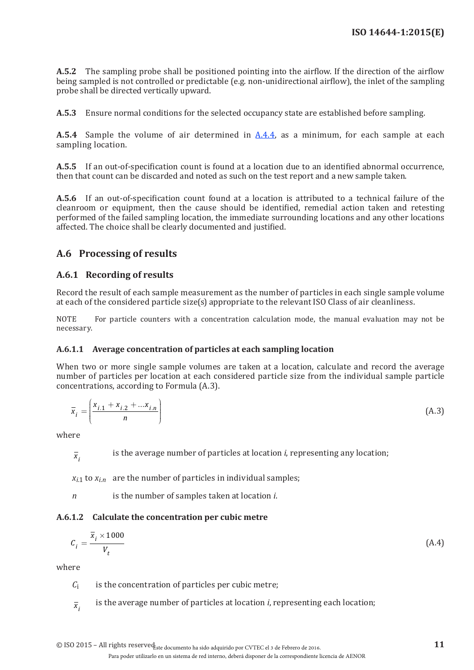**A.5.2** The sampling probe shall be positioned pointing into the airflow. If the direction of the airflow being sampled is not controlled or predictable (e.g. non-unidirectional airflow), the inlet of the sampling probe shall be directed vertically upward.

**A.5.3** Ensure normal conditions for the selected occupancy state are established before sampling.

**A.5.4** Sample the volume of air determined in [A.4.4](#page-15-0), as a minimum, for each sample at each sampling location.

**A.5.5** If an out-of-specification count is found at a location due to an identified abnormal occurrence, then that count can be discarded and noted as such on the test report and a new sample taken.

**A.5.6** If an out-of-specification count found at a location is attributed to a technical failure of the cleanroom or equipment, then the cause should be identified, remedial action taken and retesting performed of the failed sampling location, the immediate surrounding locations and any other locations affected. The choice shall be clearly documented and justified.

### **A.6 Processing of results**

#### **A.6.1 Recording of results**

Record the result of each sample measurement as the number of particles in each single sample volume at each of the considered particle size(s) appropriate to the relevant ISO Class of air cleanliness.

NOTE For particle counters with a concentration calculation mode, the manual evaluation may not be necessary.

#### **A.6.1.1 Average concentration of particles at each sampling location**

When two or more single sample volumes are taken at a location, calculate and record the average number of particles per location at each considered particle size from the individual sample particle concentrations, according to Formula (A.3).

$$
\bar{x}_i = \left(\frac{x_{i,1} + x_{i,2} + \dots x_{i,n}}{n}\right)
$$
(A.3)

where

 $\overline{x_i}$  is the average number of particles at location *i*, representing any location;

 $x_{i1}$  to  $x_{i2}$  are the number of particles in individual samples;

*n* is the number of samples taken at location *i*.

#### **A.6.1.2 Calculate the concentration per cubic metre**

$$
C_i = \frac{\overline{x}_i \times 1000}{V_t} \tag{A.4}
$$

where

- $C_i$  is the concentration of particles per cubic metre;
- $\overline{x_i}$  is the average number of particles at location *i*, representing each location;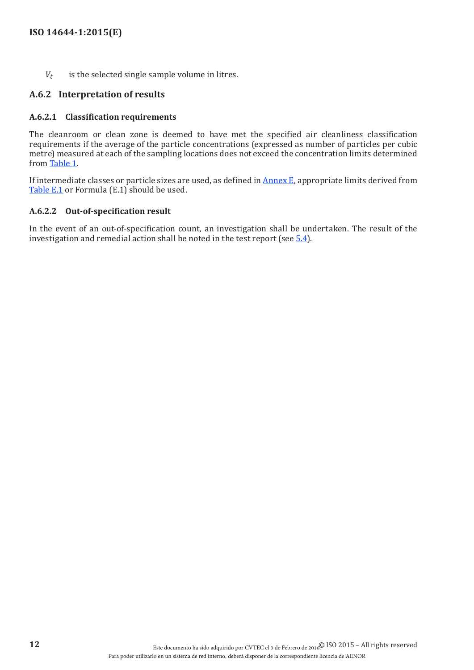*Vt* is the selected single sample volume in litres.

#### **A.6.2 Interpretation of results**

#### **A.6.2.1 Classification requirements**

The cleanroom or clean zone is deemed to have met the specified air cleanliness classification requirements if the average of the particle concentrations (expressed as number of particles per cubic metre) measured at each of the sampling locations does not exceed the concentration limits determined from [Table](#page-10-1) 1.

If intermediate classes or particle sizes are used, as defined in [Annex](#page-39-2) E, appropriate limits derived from [Table](#page-39-1) E.1 or Formula (E.1) should be used.

#### **A.6.2.2 Out-of-specification result**

In the event of an out-of-specification count, an investigation shall be undertaken. The result of the investigation and remedial action shall be noted in the test report (see  $\frac{5.4}{5.4}$ ).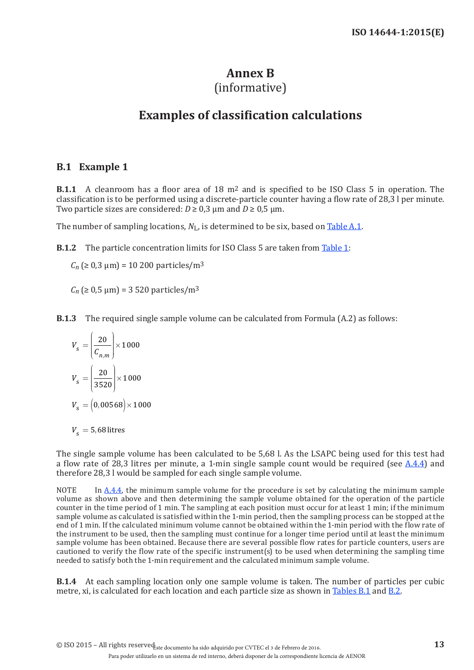## <span id="page-18-1"></span>**Annex B**

## (informative)

## **Examples of classification calculations**

## <span id="page-18-0"></span>**B.1 Example 1**

**B.1.1** A cleanroom has a floor area of 18 m2 and is specified to be ISO Class 5 in operation. The classification is to be performed using a discrete-particle counter having a flow rate of 28,3 l per minute. Two particle sizes are considered:  $D \ge 0.3$  µm and  $D \ge 0.5$  µm.

The number of sampling locations,  $N_{\text{L}}$ , is determined to be six, based on [Table](#page-14-0) A.1.

<span id="page-18-2"></span>**B.1.2** The particle concentration limits for ISO Class 5 are taken from [Table](#page-10-1) 1:

 $C_n$  ( $\geq 0.3$   $\mu$ m) = 10 200 particles/m<sup>3</sup>

 $C_n$  ( $\geq 0.5$   $\mu$ m) = 3 520 particles/m<sup>3</sup>

**B.1.3** The required single sample volume can be calculated from Formula (A.2) as follows:

$$
V_{\rm s} = \left(\frac{20}{C_{n,m}}\right) \times 1000
$$

$$
V_{\rm s} = \left(\frac{20}{3520}\right) \times 1000
$$

$$
V_{\rm s} = \left(0,00568\right) \times 1000
$$

 $V<sub>s</sub> = 5,68$  litres

The single sample volume has been calculated to be 5,68 l. As the LSAPC being used for this test had a flow rate of 28,3 litres per minute, a 1-min single sample count would be required (see  $A.4.4$ ) and therefore 28,3 l would be sampled for each single sample volume.

NOTE In  $A.4.4$ , the minimum sample volume for the procedure is set by calculating the minimum sample volume as shown above and then determining the sample volume obtained for the operation of the particle counter in the time period of 1 min. The sampling at each position must occur for at least 1 min; if the minimum sample volume as calculated is satisfied within the 1-min period, then the sampling process can be stopped at the end of 1 min. If the calculated minimum volume cannot be obtained within the 1-min period with the flow rate of the instrument to be used, then the sampling must continue for a longer time period until at least the minimum sample volume has been obtained. Because there are several possible flow rates for particle counters, users are cautioned to verify the flow rate of the specific instrument(s) to be used when determining the sampling time needed to satisfy both the 1-min requirement and the calculated minimum sample volume.

**B.1.4** At each sampling location only one sample volume is taken. The number of particles per cubic metre, xi, is calculated for each location and each particle size as shown in [Tables](#page-19-0) B.1 and [B.2](#page-19-1).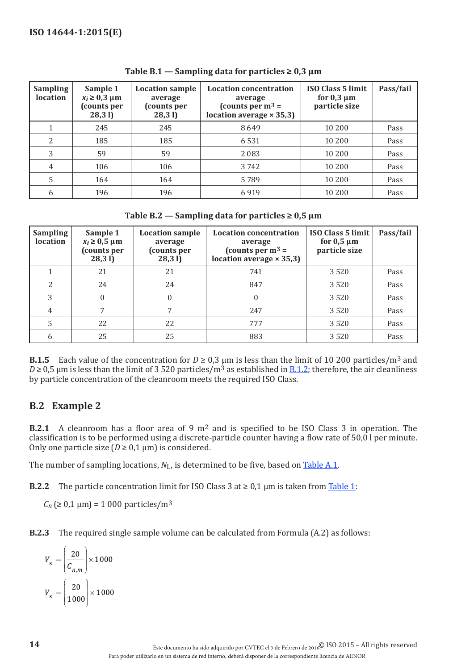| <b>Sampling</b><br><b>location</b> | Sample 1<br>$x_i \geq 0.3$ µm<br>(counts per<br>28,31 | <b>Location sample</b><br>average<br>(counts per<br>28,31 | <b>Location concentration</b><br>average<br>(counts per $m^3$ =<br>location average $\times$ 35,3) | <b>ISO Class 5 limit</b><br>for $0,3 \mu m$<br>particle size | Pass/fail |
|------------------------------------|-------------------------------------------------------|-----------------------------------------------------------|----------------------------------------------------------------------------------------------------|--------------------------------------------------------------|-----------|
|                                    | 245                                                   | 245                                                       | 8649                                                                                               | 10 200                                                       | Pass      |
| 2                                  | 185                                                   | 185                                                       | 6531                                                                                               | 10 200                                                       | Pass      |
| 3                                  | 59                                                    | 59                                                        | 2083                                                                                               | 10 200                                                       | Pass      |
| $\overline{4}$                     | 106                                                   | 106                                                       | 3 742                                                                                              | 10 200                                                       | Pass      |
| 5                                  | 164                                                   | 164                                                       | 5789                                                                                               | 10 200                                                       | Pass      |
| 6                                  | 196                                                   | 196                                                       | 6919                                                                                               | 10 200                                                       | Pass      |

<span id="page-19-0"></span>Table  $B.1 -$  Sampling data for particles  $\geq 0.3$   $\mu$ m

<span id="page-19-1"></span>Table **B.2** → Sampling data for particles  $≥ 0.5 \mu m$ 

| <b>Sampling</b><br>location | Sample 1<br>$x_i \geq 0.5 \mu m$<br>(counts per<br>28,31 | <b>Location sample</b><br>average<br>(counts per<br>28,31 | <b>Location concentration</b><br>average<br>(counts per $m^3$ =<br>location average $\times$ 35,3) | <b>ISO Class 5 limit</b><br>for $0,5 \mu m$<br>particle size | Pass/fail |
|-----------------------------|----------------------------------------------------------|-----------------------------------------------------------|----------------------------------------------------------------------------------------------------|--------------------------------------------------------------|-----------|
|                             | 21                                                       | 21                                                        | 741                                                                                                | 3520                                                         | Pass      |
| 2                           | 24                                                       | 24                                                        | 847                                                                                                | 3520                                                         | Pass      |
|                             | 0                                                        |                                                           | 0                                                                                                  | 3520                                                         | Pass      |
| 4                           |                                                          |                                                           | 247                                                                                                | 3520                                                         | Pass      |
|                             | 22                                                       | 22                                                        | 777                                                                                                | 3520                                                         | Pass      |
|                             | 25                                                       | 25                                                        | 883                                                                                                | 3520                                                         | Pass      |

**B.1.5** Each value of the concentration for  $D \ge 0.3$  µm is less than the limit of 10 200 particles/m<sup>3</sup> and  $D \ge 0.5$  µm is less than the limit of 3 520 particles/m<sup>3</sup> as established in <u>B.1.2</u>; therefore, the air cleanliness by particle concentration of the cleanroom meets the required ISO Class.

## **B.2 Example 2**

**B.2.1** A cleanroom has a floor area of 9 m2 and is specified to be ISO Class 3 in operation. The classification is to be performed using a discrete-particle counter having a flow rate of 50,0 l per minute. Only one particle size  $(D \ge 0, 1 \mu m)$  is considered.

The number of sampling locations,  $N_{L}$ , is determined to be five, based on [Table](#page-14-0) A.1.

**B.2.2** The particle concentration limit for ISO Class  $3$  at  $\geq 0.1$  µm is taken from [Table](#page-10-1) 1:

 $C_n$  ( $\geq 0.1$   $\mu$ m) = 1 000 particles/m<sup>3</sup>

**B.2.3** The required single sample volume can be calculated from Formula (A.2) as follows:

$$
V_{\rm s} = \left(\frac{20}{C_{n,m}}\right) \times 1000
$$

$$
V_{\rm s} = \left(\frac{20}{1000}\right) \times 1000
$$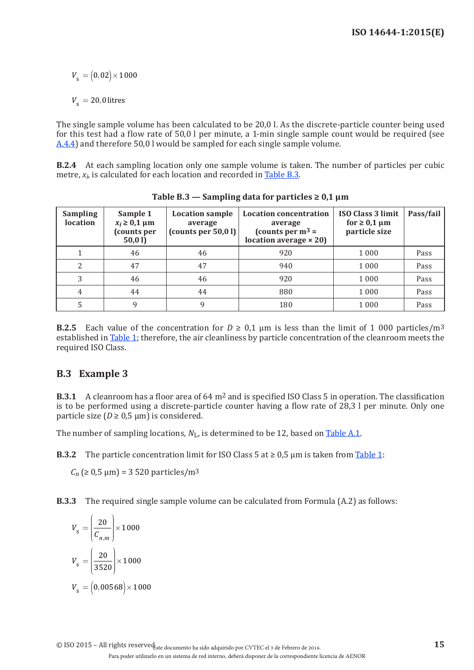$V_s = (0, 02) \times 1000$ 

 $V_{\rm s} = 20,0$  litres

The single sample volume has been calculated to be 20,0 l. As the discrete-particle counter being used for this test had a flow rate of 50,0 l per minute, a 1-min single sample count would be required (see [A.4.4](#page-15-0)) and therefore 50,0 l would be sampled for each single sample volume.

**B.2.4** At each sampling location only one sample volume is taken. The number of particles per cubic metre,  $x_i$ , is calculated for each location and recorded in [Table](#page-20-0) B.3.

| <b>Sampling</b><br>location | Sample 1<br>$x_i \geq 0.1 \mu m$<br>(counts per<br>50,0 l) | <b>Location sample</b><br>average<br>(counts per $50,0$ l) | <b>Location concentration</b><br>average<br>(counts per $m^3$ =<br>location average $\times$ 20) | ISO Class 3 limit<br>for $\geq 0.1$ µm<br>particle size | Pass/fail |
|-----------------------------|------------------------------------------------------------|------------------------------------------------------------|--------------------------------------------------------------------------------------------------|---------------------------------------------------------|-----------|
|                             | 46                                                         | 46                                                         | 920                                                                                              | 1 0 0 0                                                 | Pass      |
| 2                           | 47                                                         | 47                                                         | 940                                                                                              | 1 0 0 0                                                 | Pass      |
| 3                           | 46                                                         | 46                                                         | 920                                                                                              | 1 0 0 0                                                 | Pass      |
| 4                           | 44                                                         | 44                                                         | 880                                                                                              | 1 0 0 0                                                 | Pass      |
|                             |                                                            | 9                                                          | 180                                                                                              | 1 0 0 0                                                 | Pass      |

<span id="page-20-0"></span>**Table B.3 — Sampling data for particles ≥ 0,1 μm**

**B.2.5** Each value of the concentration for  $D \ge 0.1$  µm is less than the limit of 1 000 particles/m<sup>3</sup> established in [Table](#page-10-1) 1; therefore, the air cleanliness by particle concentration of the cleanroom meets the required ISO Class.

## **B.3 Example 3**

**B.3.1** A cleanroom has a floor area of 64 m<sup>2</sup> and is specified ISO Class 5 in operation. The classification is to be performed using a discrete-particle counter having a flow rate of 28,3 l per minute. Only one particle size ( $D \ge 0.5$  µm) is considered.

The number of sampling locations,  $N_{\rm L}$  is determined to be 12, based on [Table](#page-14-0) A.1.

**B.3.2** The particle concentration limit for ISO Class 5 at  $\geq 0.5$  µm is taken from [Table](#page-10-1) 1:

 $C_n$  ( $\geq 0.5$   $\mu$ m) = 3 520 particles/m<sup>3</sup>

**B.3.3** The required single sample volume can be calculated from Formula (A.2) as follows:

$$
V_{\rm s} = \left(\frac{20}{C_{n,m}}\right) \times 1000
$$

$$
V_{\rm s} = \left(\frac{20}{3520}\right) \times 1000
$$

$$
V_{\rm s} = \left(0,00568\right) \times 1000
$$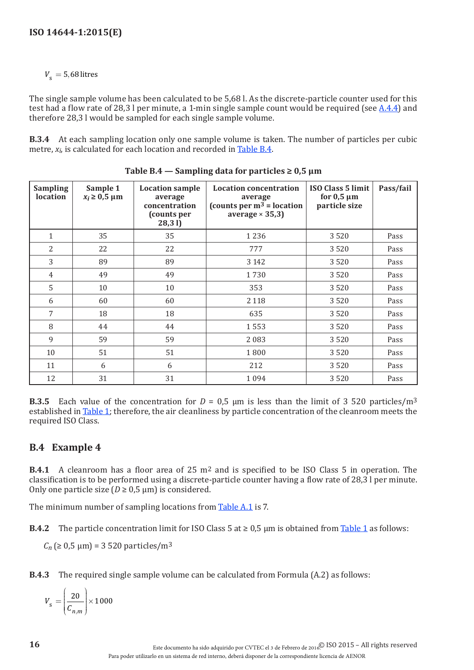$V_s = 5,68$  litres

The single sample volume has been calculated to be 5,68 l. As the discrete-particle counter used for this test had a flow rate of 28,3 l per minute, a 1-min single sample count would be required (see [A.4.4\)](#page-15-0) and therefore 28,3 l would be sampled for each single sample volume.

**B.3.4** At each sampling location only one sample volume is taken. The number of particles per cubic metre,  $x_i$ , is calculated for each location and recorded in [Table](#page-21-0) B.4.

| <b>Sampling</b><br>location | Sample 1<br>$x_i \geq 0.5 \mu m$ | <b>Location sample</b><br>average<br>concentration<br>(counts per<br>28,31 | <b>Location concentration</b><br>average<br>(counts per $m^3$ = location<br>average $\times$ 35,3) | <b>ISO Class 5 limit</b><br>for $0,5 \mu m$<br>particle size | Pass/fail |
|-----------------------------|----------------------------------|----------------------------------------------------------------------------|----------------------------------------------------------------------------------------------------|--------------------------------------------------------------|-----------|
| 1                           | 35                               | 35                                                                         | 1 2 3 6                                                                                            | 3520                                                         | Pass      |
| 2                           | 22                               | 22                                                                         | 777                                                                                                | 3520                                                         | Pass      |
| 3                           | 89                               | 89                                                                         | 3 1 4 2                                                                                            | 3520                                                         | Pass      |
| $\overline{4}$              | 49                               | 49                                                                         | 1730                                                                                               | 3520                                                         | Pass      |
| 5                           | 10                               | 10                                                                         | 353                                                                                                | 3520                                                         | Pass      |
| 6                           | 60                               | 60                                                                         | 2 1 1 8                                                                                            | 3520                                                         | Pass      |
| 7                           | 18                               | 18                                                                         | 635                                                                                                | 3520                                                         | Pass      |
| 8                           | 44                               | 44                                                                         | 1553                                                                                               | 3520                                                         | Pass      |
| 9                           | 59                               | 59                                                                         | 2083                                                                                               | 3520                                                         | Pass      |
| 10                          | 51                               | 51                                                                         | 1800                                                                                               | 3520                                                         | Pass      |
| 11                          | 6                                | 6                                                                          | 212                                                                                                | 3520                                                         | Pass      |
| 12                          | 31                               | 31                                                                         | 1094                                                                                               | 3520                                                         | Pass      |

<span id="page-21-0"></span>**Table**  $B.4$  — Sampling data for particles  $\geq 0.5 \mu m$ 

**B.3.5** Each value of the concentration for  $D = 0.5$  µm is less than the limit of 3 520 particles/m<sup>3</sup> established in [Table](#page-10-1) 1; therefore, the air cleanliness by particle concentration of the cleanroom meets the required ISO Class.

## **B.4 Example 4**

**B.4.1** A cleanroom has a floor area of 25 m2 and is specified to be ISO Class 5 in operation. The classification is to be performed using a discrete-particle counter having a flow rate of 28,3 l per minute. Only one particle size ( $D \ge 0.5 \mu$ m) is considered.

The minimum number of sampling locations from [Table](#page-14-0) A.1 is 7.

**B.4.2** The particle concentration limit for ISO Class 5 at  $\geq 0.5$  µm is obtained from [Table](#page-10-1) 1 as follows:

 $C_n$  ( $\geq 0.5$   $\mu$ m) = 3 520 particles/m<sup>3</sup>

**B.4.3** The required single sample volume can be calculated from Formula (A.2) as follows:

*V n m*  $s =$ ſ l  $\overline{\phantom{a}}$  $\mathcal{L}$ J  $\overline{\phantom{a}}$  $\begin{array}{|c|c|}\n\hline\n20 & \times 1000\n\end{array}$  $c_{n, n}$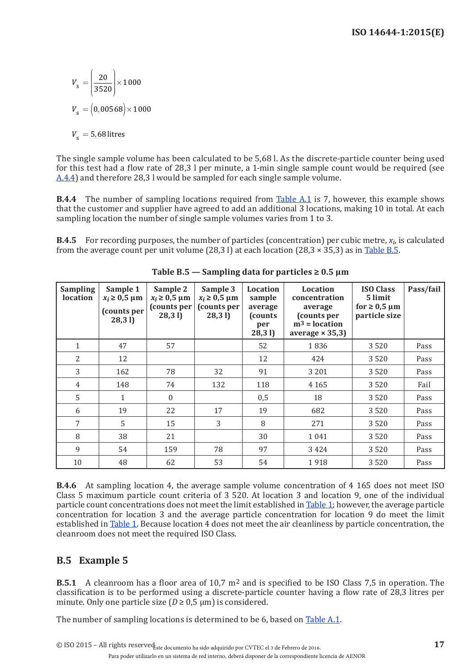$$
V_s = \left(\frac{20}{3520}\right) \times 1000
$$

$$
V_s = \left(0,00568\right) \times 1000
$$

$$
V_s = 5,68 \text{ litres}
$$

The single sample volume has been calculated to be 5,68 l. As the discrete-particle counter being used for this test had a flow rate of 28,3 l per minute, a 1-min single sample count would be required (see [A.4.4](#page-15-0)) and therefore 28,3 l would be sampled for each single sample volume.

**B.4.4** The number of sampling locations required from [Table](#page-14-0) A.1 is 7, however, this example shows that the customer and supplier have agreed to add an additional 3 locations, making 10 in total. At each sampling location the number of single sample volumes varies from 1 to 3.

**B.4.5** For recording purposes, the number of particles (concentration) per cubic metre,  $x_i$ , is calculated from the average count per unit volume (28,3 l) at each location (28,3  $\times$  35,3) as in [Table](#page-22-0) B.5.

| <b>Sampling</b><br>location | Sample 1<br>$x_i \geq 0.5$ µm<br>(counts per<br>28,31 | Sample 2<br>$x_i \geq 0.5 \mu m$<br>(counts per<br>28,31 | Sample 3<br>$x_i \geq 0.5$ µm<br>(counts per<br>28,31 | <b>Location</b><br>sample<br>average<br><b>(counts)</b><br>per<br>28,31 | Location<br>concentration<br>average<br>(counts per<br>$m3 = location$<br>average $\times$ 35,3) | <b>ISO Class</b><br>5 limit<br>for $\geq 0.5$ µm<br>particle size | Pass/fail |
|-----------------------------|-------------------------------------------------------|----------------------------------------------------------|-------------------------------------------------------|-------------------------------------------------------------------------|--------------------------------------------------------------------------------------------------|-------------------------------------------------------------------|-----------|
| $\mathbf{1}$                | 47                                                    | 57                                                       |                                                       | 52                                                                      | 1836                                                                                             | 3520                                                              | Pass      |
| $\overline{2}$              | 12                                                    |                                                          |                                                       | 12                                                                      | 424                                                                                              | 3520                                                              | Pass      |
| 3                           | 162                                                   | 78                                                       | 32                                                    | 91                                                                      | 3 2 0 1                                                                                          | 3520                                                              | Pass      |
| $\overline{4}$              | 148                                                   | 74                                                       | 132                                                   | 118                                                                     | 4 1 6 5                                                                                          | 3520                                                              | Fail      |
| 5                           | $\mathbf{1}$                                          | $\Omega$                                                 |                                                       | 0,5                                                                     | 18                                                                                               | 3520                                                              | Pass      |
| 6                           | 19                                                    | 22                                                       | 17                                                    | 19                                                                      | 682                                                                                              | 3520                                                              | Pass      |
| 7                           | 5                                                     | 15                                                       | 3                                                     | 8                                                                       | 271                                                                                              | 3520                                                              | Pass      |
| 8                           | 38                                                    | 21                                                       |                                                       | 30                                                                      | 1041                                                                                             | 3520                                                              | Pass      |
| 9                           | 54                                                    | 159                                                      | 78                                                    | 97                                                                      | 3424                                                                                             | 3520                                                              | Pass      |
| 10                          | 48                                                    | 62                                                       | 53                                                    | 54                                                                      | 1918                                                                                             | 3520                                                              | Pass      |

<span id="page-22-0"></span>**Table B.5 — Sampling data for particles ≥ 0.5 μm**

**B.4.6** At sampling location 4, the average sample volume concentration of 4 165 does not meet ISO Class 5 maximum particle count criteria of 3 520. At location 3 and location 9, one of the individual particle count concentrations does not meet the limit established in [Table](#page-10-1) 1; however, the average particle concentration for location 3 and the average particle concentration for location 9 do meet the limit established in [Table](#page-10-1) 1. Because location 4 does not meet the air cleanliness by particle concentration, the cleanroom does not meet the required ISO Class.

## **B.5 Example 5**

**B.5.1** A cleanroom has a floor area of 10,7 m2 and is specified to be ISO Class 7,5 in operation. The classification is to be performed using a discrete-particle counter having a flow rate of 28,3 litres per minute. Only one particle size ( $D \ge 0.5$  µm) is considered.

The number of sampling locations is determined to be 6, based on [Table](#page-14-0) A.1.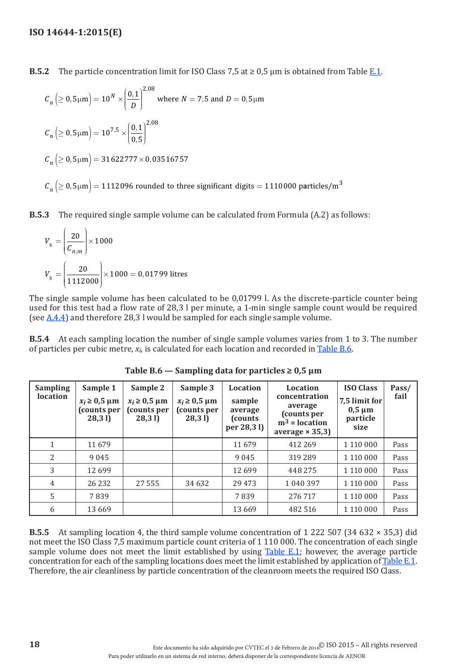**B.5.2** The particle concentration limit for ISO Class 7.5 at  $\geq 0.5$  µm is obtained from Table [E.1.](#page-39-3)

$$
C_n \left( \ge 0, 5\mu \text{m} \right) = 10^N \times \left( \frac{0,1}{D} \right)^{2,08} \text{ where } N = 7, 5 \text{ and } D = 0, 5\mu \text{m}
$$
  

$$
C_n \left( \ge 0, 5\mu \text{m} \right) = 10^{7,5} \times \left( \frac{0,1}{0,5} \right)^{2,08}
$$
  

$$
C_n \left( \ge 0, 5\mu \text{m} \right) = 31622777 \times 0,03516757
$$
  

$$
C_n \left( \ge 0, 5\mu \text{m} \right) = 1112096 \text{ rounded to three significant digits} = 1110000 \text{ particles/m}^3
$$

**B.5.3** The required single sample volume can be calculated from Formula (A.2) as follows:

$$
V_{\rm s} = \left(\frac{20}{C_{n,m}}\right) \times 1000
$$
  

$$
V_{\rm s} = \left(\frac{20}{1112000}\right) \times 1000 = 0,01799 \text{ litres}
$$

The single sample volume has been calculated to be 0,01799 l. As the discrete-particle counter being used for this test had a flow rate of 28,3 l per minute, a 1-min single sample count would be required (see  $A.4.4$ ) and therefore 28,3 l would be sampled for each single sample volume.

**B.5.4** At each sampling location the number of single sample volumes varies from 1 to 3. The number of particles per cubic metre, *xi*, is calculated for each location and recorded in [Table](#page-23-0) B.6.

| <b>Sampling</b><br>location | Sample 1<br>$x_i \geq 0.5$ µm<br>(counts per<br>28,31 | Sample 2<br>$x_i \geq 0.5$ µm<br>(counts per<br>28,31 | Sample 3<br>$x_i \geq 0.5 \mu m$<br>(counts per<br>28,31 | <b>Location</b><br>sample<br>average<br>(counts)<br>per 28,31) | Location<br>concentration<br>average<br>(counts per<br>$m3$ = location<br>average $\times$ 35,3) | <b>ISO Class</b><br>7,5 limit for<br>$0,5 \mu m$<br>particle<br>size | Pass/<br>fail |
|-----------------------------|-------------------------------------------------------|-------------------------------------------------------|----------------------------------------------------------|----------------------------------------------------------------|--------------------------------------------------------------------------------------------------|----------------------------------------------------------------------|---------------|
| 1                           | 11 679                                                |                                                       |                                                          | 11 679                                                         | 412 269                                                                                          | 1 1 1 0 0 0 0                                                        | Pass          |
| 2                           | 9045                                                  |                                                       |                                                          | 9045                                                           | 319 289                                                                                          | 1 1 1 0 0 0 0                                                        | Pass          |
| 3                           | 12699                                                 |                                                       |                                                          | 12699                                                          | 448 275                                                                                          | 1 110 000                                                            | Pass          |
| $\overline{4}$              | 26 232                                                | 27 555                                                | 34 6 32                                                  | 29 4 73                                                        | 1 040 397                                                                                        | 1 110 000                                                            | Pass          |
| 5                           | 7839                                                  |                                                       |                                                          | 7839                                                           | 276 717                                                                                          | 1 110 000                                                            | Pass          |
| 6                           | 13 6 6 9                                              |                                                       |                                                          | 13 6 6 9                                                       | 482 516                                                                                          | 1 110 000                                                            | Pass          |

<span id="page-23-0"></span>**Table B.6 — Sampling data for particles ≥ 0,5 μm**

**B.5.5** At sampling location 4, the third sample volume concentration of 1 222 507 (34 632 × 35,3) did not meet the ISO Class 7,5 maximum particle count criteria of 1 110 000. The concentration of each single sample volume does not meet the limit established by using [Table](#page-39-1) E.1; however, the average particle concentration for each of the sampling locations does meet the limit established by application of [Table](#page-39-1) E.1. Therefore, the air cleanliness by particle concentration of the cleanroom meets the required ISO Class.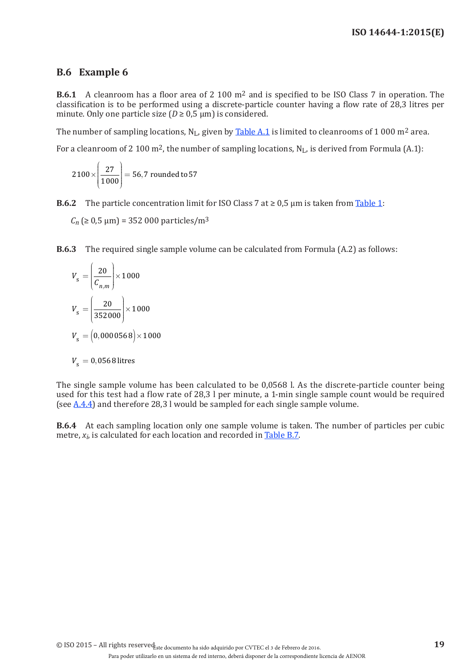## **B.6 Example 6**

**B.6.1** A cleanroom has a floor area of 2 100 m2 and is specified to be ISO Class 7 in operation. The classification is to be performed using a discrete-particle counter having a flow rate of 28,3 litres per minute. Only one particle size ( $D \ge 0.5$  µm) is considered.

The number of sampling locations,  $N_L$ , given by [Table](#page-14-0) A.1 is limited to cleanrooms of 1 000 m<sup>2</sup> area.

For a cleanroom of 2 100 m<sup>2</sup>, the number of sampling locations,  $N_L$ , is derived from Formula (A.1):

$$
2100 \times \left(\frac{27}{1000}\right) = 56,7 \text{ rounded to } 57
$$

**B.6.2** The particle concentration limit for ISO Class 7 at  $\geq 0.5$  µm is taken from [Table](#page-10-1) 1:

 $C_n$  ( $\geq 0.5$   $\mu$ m) = 352 000 particles/m<sup>3</sup>

**B.6.3** The required single sample volume can be calculated from Formula (A.2) as follows:

$$
V_s = \left(\frac{20}{C_{n,m}}\right) \times 1000
$$
  

$$
V_s = \left(\frac{20}{352000}\right) \times 1000
$$
  

$$
V_s = \left(0,0000568\right) \times 1000
$$
  

$$
V_s = 0,0568 \text{ litres}
$$

The single sample volume has been calculated to be 0,0568 l. As the discrete-particle counter being used for this test had a flow rate of 28,3 l per minute, a 1-min single sample count would be required (see  $A.4.4$ ) and therefore 28,3 l would be sampled for each single sample volume.

**B.6.4** At each sampling location only one sample volume is taken. The number of particles per cubic metre,  $x_i$ , is calculated for each location and recorded in [Table](#page-25-0) B.7.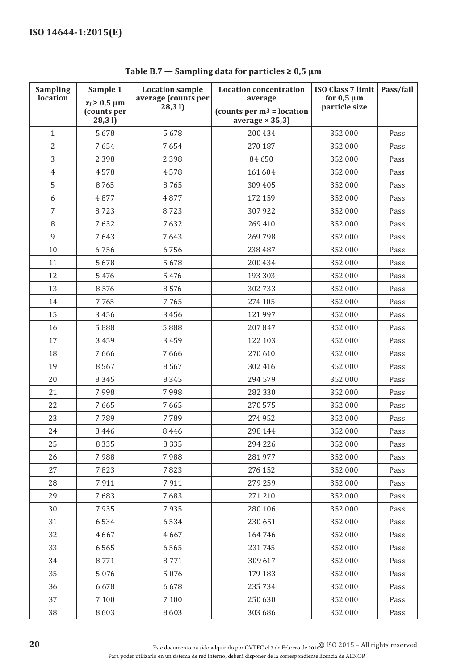| <b>Sampling</b><br>location | Sample 1<br><b>Location sample</b> |                              | <b>Location concentration</b>           | ISO Class 7 limit                | Pass/fail |
|-----------------------------|------------------------------------|------------------------------|-----------------------------------------|----------------------------------|-----------|
|                             | $x_i \geq 0.5 \mu m$               | average (counts per<br>28,31 | average<br>(counts per $m^3$ = location | for $0,5 \mu m$<br>particle size |           |
|                             | (counts per<br>28,31               |                              | average $\times$ 35,3)                  |                                  |           |
| $\mathbf{1}$                | 5678                               | 5678                         | 200 434                                 | 352 000                          | Pass      |
| $\overline{2}$              | 7654                               | 7654                         | 270 187                                 | 352 000                          | Pass      |
| 3                           | 2 3 9 8                            | 2 3 9 8                      | 84 650                                  | 352 000                          | Pass      |
| $\overline{4}$              | 4578                               | 4578                         | 161 604                                 | 352 000                          | Pass      |
| 5                           | 8765                               | 8765                         | 309 405                                 | 352 000                          | Pass      |
| 6                           | 4877                               | 4877                         | 172 159                                 | 352 000                          | Pass      |
| 7                           | 8723                               | 8723                         | 307 922                                 | 352 000                          | Pass      |
| 8                           | 7632                               | 7632                         | 269 410                                 | 352 000                          | Pass      |
| 9                           | 7643                               | 7643                         | 269798                                  | 352 000                          | Pass      |
| 10                          | 6756                               | 6756                         | 238 487                                 | 352 000                          | Pass      |
| 11                          | 5678                               | 5678                         | 200 434                                 | 352 000                          | Pass      |
| 12                          | 5 4 7 6                            | 5 4 7 6                      | 193 303                                 | 352 000                          | Pass      |
| 13                          | 8576                               | 8576                         | 302733                                  | 352 000                          | Pass      |
| 14                          | 7765                               | 7765                         | 274 105                                 | 352 000                          | Pass      |
| 15                          | 3 4 5 6                            | 3 4 5 6                      | 121 997                                 | 352 000                          | Pass      |
| 16                          | 5888                               | 5888                         | 207 847                                 | 352 000                          | Pass      |
| 17                          | 3 4 5 9                            | 3 4 5 9                      | 122 103                                 | 352 000                          | Pass      |
| 18                          | 7666                               | 7666                         | 270 610                                 | 352 000                          | Pass      |
| 19                          | 8567                               | 8567                         | 302 416                                 | 352 000                          | Pass      |
| 20                          | 8345                               | 8 3 4 5                      | 294 579                                 | 352 000                          | Pass      |
| 21                          | 7998                               | 7998                         | 282 330                                 | 352 000                          | Pass      |
| 22                          | 7665                               | 7665                         | 270 575                                 | 352 000                          | Pass      |
| 23                          | 7789                               | 7789                         | 274 952                                 | 352 000                          | Pass      |
| 24                          | 8446                               | 8446                         | 298 144                                 | 352 000                          | Pass      |
| 25                          | 8335                               | 8 3 3 5                      | 294 226                                 | 352 000                          | Pass      |
| 26                          | 7988                               | 7988                         | 281 977                                 | 352 000                          | Pass      |
| 27                          | 7823                               | 7823                         | 276 152                                 | 352 000                          | Pass      |
| 28                          | 7911                               | 7911                         | 279 259                                 | 352 000                          | Pass      |
| 29                          | 7683                               | 7683                         | 271 210                                 | 352 000                          | Pass      |
| 30                          | 7935                               | 7935                         | 280 106                                 | 352 000                          | Pass      |
| 31                          | 6534                               | 6534                         | 230 651                                 | 352 000                          | Pass      |
| 32                          | 4667                               | 4667                         | 164 746                                 | 352 000                          | Pass      |
| 33                          | 6565                               | 6565                         | 231745                                  | 352 000                          | Pass      |
| 34                          | 8771                               | 8771                         | 309 617                                 | 352 000                          | Pass      |
| 35                          | 5 0 7 6                            | 5 0 7 6                      | 179 183                                 | 352 000                          | Pass      |
| 36                          | 6678                               | 6678                         | 235 734                                 | 352 000                          | Pass      |
| 37                          | 7 1 0 0                            | 7 1 0 0                      | 250 630                                 | 352 000                          | Pass      |
| 38                          | 8603                               | 8603                         | 303 686                                 | 352 000                          | Pass      |

<span id="page-25-0"></span>**Table B.7 — Sampling data for particles ≥ 0,5 μm**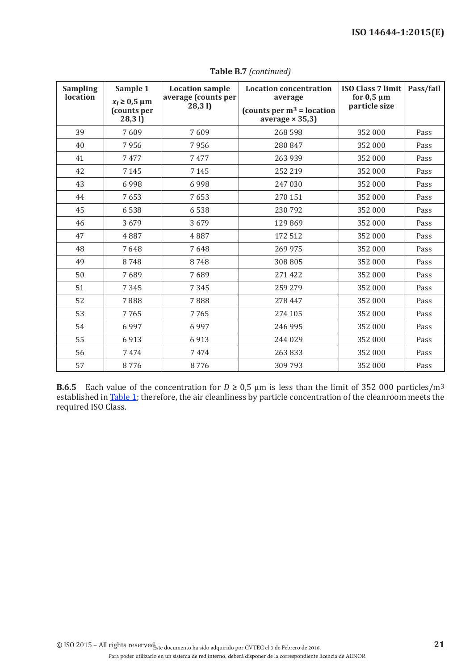| <b>Sampling</b><br>location | Sample 1<br>$x_i \geq 0.5 \mu m$<br>(counts per<br>28,31 | <b>Location sample</b><br>average (counts per<br>(28, 31) | <b>Location concentration</b><br>average<br>(counts per $m^3$ = location<br>average $\times$ 35,3) | <b>ISO Class 7 limit</b><br>for $0,5 \mu m$<br>particle size | Pass/fail |
|-----------------------------|----------------------------------------------------------|-----------------------------------------------------------|----------------------------------------------------------------------------------------------------|--------------------------------------------------------------|-----------|
| 39                          | 7609                                                     | 7609                                                      | 268 598                                                                                            | 352 000                                                      | Pass      |
| 40                          | 7956                                                     | 7956                                                      | 280 847                                                                                            | 352 000                                                      | Pass      |
| 41                          | 7477                                                     | 7477                                                      | 263 939                                                                                            | 352 000                                                      | Pass      |
| 42                          | 7 1 4 5                                                  | 7 1 4 5                                                   | 252 219                                                                                            | 352 000                                                      | Pass      |
| 43                          | 6998                                                     | 6998                                                      | 247 030                                                                                            | 352 000                                                      | Pass      |
| 44                          | 7653                                                     | 7653                                                      | 270 151                                                                                            | 352 000                                                      | Pass      |
| 45                          | 6538                                                     | 6538                                                      | 230 792                                                                                            | 352 000                                                      | Pass      |
| 46                          | 3679                                                     | 3679                                                      | 129 869                                                                                            | 352 000                                                      | Pass      |
| 47                          | 4887                                                     | 4887                                                      | 172 512                                                                                            | 352 000                                                      | Pass      |
| 48                          | 7648                                                     | 7648                                                      | 269 975                                                                                            | 352 000                                                      | Pass      |
| 49                          | 8748                                                     | 8748                                                      | 308 805                                                                                            | 352 000                                                      | Pass      |
| 50                          | 7689                                                     | 7689                                                      | 271 422                                                                                            | 352 000                                                      | Pass      |
| 51                          | 7345                                                     | 7345                                                      | 259 279                                                                                            | 352 000                                                      | Pass      |
| 52                          | 7888                                                     | 7888                                                      | 278 447                                                                                            | 352 000                                                      | Pass      |
| 53                          | 7765                                                     | 7765                                                      | 274 105                                                                                            | 352 000                                                      | Pass      |
| 54                          | 6997                                                     | 6997                                                      | 246 995                                                                                            | 352 000                                                      | Pass      |
| 55                          | 6913                                                     | 6913                                                      | 244 029                                                                                            | 352 000                                                      | Pass      |
| 56                          | 7474                                                     | 7474                                                      | 263833                                                                                             | 352 000                                                      | Pass      |
| 57                          | 8776                                                     | 8776                                                      | 309 793                                                                                            | 352 000                                                      | Pass      |

**Table B.7** *(continued)*

**B.6.5** Each value of the concentration for  $D \ge 0.5$  µm is less than the limit of 352 000 particles/m<sup>3</sup> established in [Table](#page-10-1) 1; therefore, the air cleanliness by particle concentration of the cleanroom meets the required ISO Class.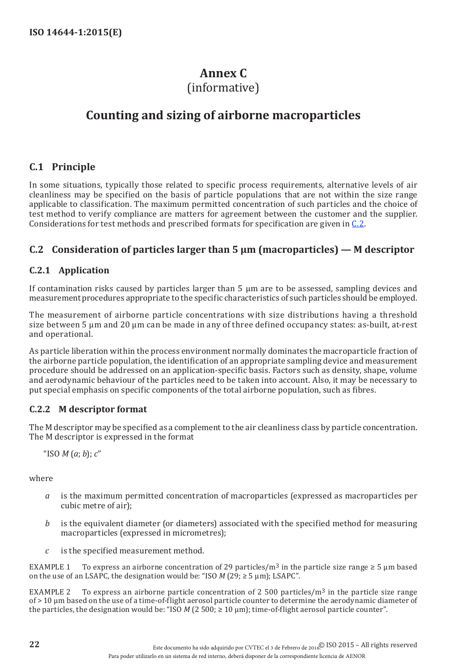## <span id="page-27-1"></span>**Annex C**

## (informative)

## <span id="page-27-0"></span>**Counting and sizing of airborne macroparticles**

## **C.1 Principle**

In some situations, typically those related to specific process requirements, alternative levels of air cleanliness may be specified on the basis of particle populations that are not within the size range applicable to classification. The maximum permitted concentration of such particles and the choice of test method to verify compliance are matters for agreement between the customer and the supplier. Considerations for test methods and prescribed formats for specification are given in [C.2.](#page-27-2)

## <span id="page-27-2"></span>**C.2 Consideration of particles larger than 5 µm (macroparticles) — M descriptor**

## **C.2.1 Application**

If contamination risks caused by particles larger than 5 µm are to be assessed, sampling devices and measurement procedures appropriate to the specific characteristics of such particles should be employed.

The measurement of airborne particle concentrations with size distributions having a threshold size between 5  $\mu$ m and 20  $\mu$ m can be made in any of three defined occupancy states: as-built, at-rest and operational.

As particle liberation within the process environment normally dominates the macroparticle fraction of the airborne particle population, the identification of an appropriate sampling device and measurement procedure should be addressed on an application-specific basis. Factors such as density, shape, volume and aerodynamic behaviour of the particles need to be taken into account. Also, it may be necessary to put special emphasis on specific components of the total airborne population, such as fibres.

### **C.2.2 M descriptor format**

The M descriptor may be specified as a complement to the air cleanliness class by particle concentration. The M descriptor is expressed in the format

"ISO *M* (*a*; *b*); *c*"

where

- *a* is the maximum permitted concentration of macroparticles (expressed as macroparticles per cubic metre of air);
- *b* is the equivalent diameter (or diameters) associated with the specified method for measuring macroparticles (expressed in micrometres);
- *c* is the specified measurement method.

EXAMPLE 1 To express an airborne concentration of 29 particles/m<sup>3</sup> in the particle size range  $\geq 5$  µm based on the use of an LSAPC, the designation would be: "ISO  $M$  (29;  $\geq$  5  $\mu$ m); LSAPC".

EXAMPLE 2 To express an airborne particle concentration of 2 500 particles/ $m<sup>3</sup>$  in the particle size range of > 10 µm based on the use of a time-of-flight aerosol particle counter to determine the aerodynamic diameter of the particles, the designation would be: "ISO  $M$  (2 500;  $\geq$  10  $\mu$ m); time-of-flight aerosol particle counter".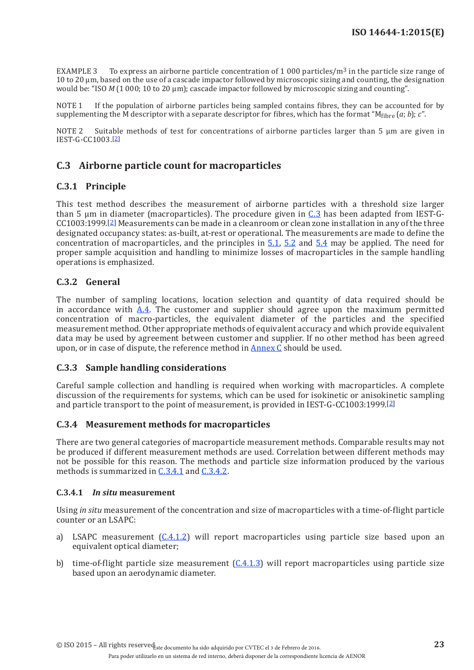EXAMPLE 3 To express an airborne particle concentration of 1 000 particles/m<sup>3</sup> in the particle size range of 10 to 20 µm, based on the use of a cascade impactor followed by microscopic sizing and counting, the designation would be: "ISO *M* (1 000; 10 to 20 µm); cascade impactor followed by microscopic sizing and counting".

If the population of airborne particles being sampled contains fibres, they can be accounted for by supplementing the M descriptor with a separate descriptor for fibres, which has the format " $M_{\text{fibre}}(a; b)$ ; *c*".

NOTE 2 Suitable methods of test for concentrations of airborne particles larger than 5 µm are given in IEST-G-CC1003.[[2](#page-42-2)]

## <span id="page-28-0"></span>**C.3 Airborne particle count for macroparticles**

#### **C.3.1 Principle**

This test method describes the measurement of airborne particles with a threshold size larger than 5 um in diameter (macroparticles). The procedure given in  $C_0$ , has been adapted from IEST-G-CC1003:1999.[\[2](#page-42-2)] Measurements can be made in a cleanroom or clean zone installation in any of the three designated occupancy states: as-built, at-rest or operational. The measurements are made to define the concentration of macroparticles, and the principles in [5.1,](#page-11-2) [5.2](#page-11-3) and [5.4](#page-11-1) may be applied. The need for proper sample acquisition and handling to minimize losses of macroparticles in the sample handling operations is emphasized.

#### **C.3.2 General**

The number of sampling locations, location selection and quantity of data required should be in accordance with  $\overrightarrow{A}A$ . The customer and supplier should agree upon the maximum permitted concentration of macro-particles, the equivalent diameter of the particles and the specified measurement method. Other appropriate methods of equivalent accuracy and which provide equivalent data may be used by agreement between customer and supplier. If no other method has been agreed upon, or in case of dispute, the reference method in [Annex](#page-27-1) C should be used.

#### **C.3.3 Sample handling considerations**

Careful sample collection and handling is required when working with macroparticles. A complete discussion of the requirements for systems, which can be used for isokinetic or anisokinetic sampling and particle transport to the point of measurement, is provided in IEST-G-CC1003:1999.[[2\]](#page-42-2)

#### **C.3.4 Measurement methods for macroparticles**

There are two general categories of macroparticle measurement methods. Comparable results may not be produced if different measurement methods are used. Correlation between different methods may not be possible for this reason. The methods and particle size information produced by the various methods is summarized in [C.3.4.1](#page-28-1) and [C.3.4.2.](#page-29-0)

#### <span id="page-28-1"></span>**C.3.4.1** *In situ* **measurement**

Using *in situ* measurement of the concentration and size of macroparticles with a time-of-flight particle counter or an LSAPC:

- a) LSAPC measurement  $(C.4.1.2)$  will report macroparticles using particle size based upon an equivalent optical diameter;
- b) time-of-flight particle size measurement ([C.4.1.3](#page-29-2)) will report macroparticles using particle size based upon an aerodynamic diameter.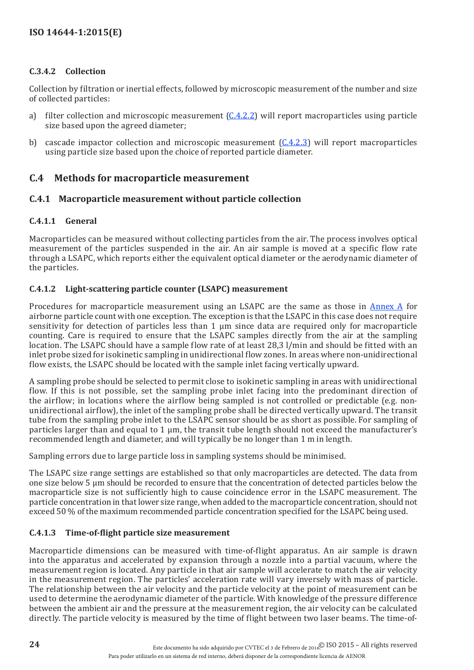### <span id="page-29-0"></span>**C.3.4.2 Collection**

Collection by filtration or inertial effects, followed by microscopic measurement of the number and size of collected particles:

- a) filter collection and microscopic measurement  $(C.4.2.2)$  $(C.4.2.2)$  will report macroparticles using particle size based upon the agreed diameter;
- b) cascade impactor collection and microscopic measurement  $(C.4.2.3)$  $(C.4.2.3)$  will report macroparticles using particle size based upon the choice of reported particle diameter.

## **C.4 Methods for macroparticle measurement**

### **C.4.1 Macroparticle measurement without particle collection**

#### **C.4.1.1 General**

Macroparticles can be measured without collecting particles from the air. The process involves optical measurement of the particles suspended in the air. An air sample is moved at a specific flow rate through a LSAPC, which reports either the equivalent optical diameter or the aerodynamic diameter of the particles.

#### <span id="page-29-1"></span>**C.4.1.2 Light-scattering particle counter (LSAPC) measurement**

Procedures for macroparticle measurement using an LSAPC are the same as those in [Annex](#page-13-1) A for airborne particle count with one exception. The exception is that the LSAPC in this case does not require sensitivity for detection of particles less than 1 um since data are required only for macroparticle counting. Care is required to ensure that the LSAPC samples directly from the air at the sampling location. The LSAPC should have a sample flow rate of at least 28,3 l/min and should be fitted with an inlet probe sized for isokinetic sampling in unidirectional flow zones. In areas where non-unidirectional flow exists, the LSAPC should be located with the sample inlet facing vertically upward.

A sampling probe should be selected to permit close to isokinetic sampling in areas with unidirectional flow. If this is not possible, set the sampling probe inlet facing into the predominant direction of the airflow; in locations where the airflow being sampled is not controlled or predictable (e.g. nonunidirectional airflow), the inlet of the sampling probe shall be directed vertically upward. The transit tube from the sampling probe inlet to the LSAPC sensor should be as short as possible. For sampling of particles larger than and equal to 1 µm, the transit tube length should not exceed the manufacturer's recommended length and diameter, and will typically be no longer than 1 m in length.

Sampling errors due to large particle loss in sampling systems should be minimised.

The LSAPC size range settings are established so that only macroparticles are detected. The data from one size below 5 µm should be recorded to ensure that the concentration of detected particles below the macroparticle size is not sufficiently high to cause coincidence error in the LSAPC measurement. The particle concentration in that lower size range, when added to the macroparticle concentration, should not exceed 50 % of the maximum recommended particle concentration specified for the LSAPC being used.

#### <span id="page-29-2"></span>**C.4.1.3 Time-of-flight particle size measurement**

Macroparticle dimensions can be measured with time-of-flight apparatus. An air sample is drawn into the apparatus and accelerated by expansion through a nozzle into a partial vacuum, where the measurement region is located. Any particle in that air sample will accelerate to match the air velocity in the measurement region. The particles' acceleration rate will vary inversely with mass of particle. The relationship between the air velocity and the particle velocity at the point of measurement can be used to determine the aerodynamic diameter of the particle. With knowledge of the pressure difference between the ambient air and the pressure at the measurement region, the air velocity can be calculated directly. The particle velocity is measured by the time of flight between two laser beams. The time-of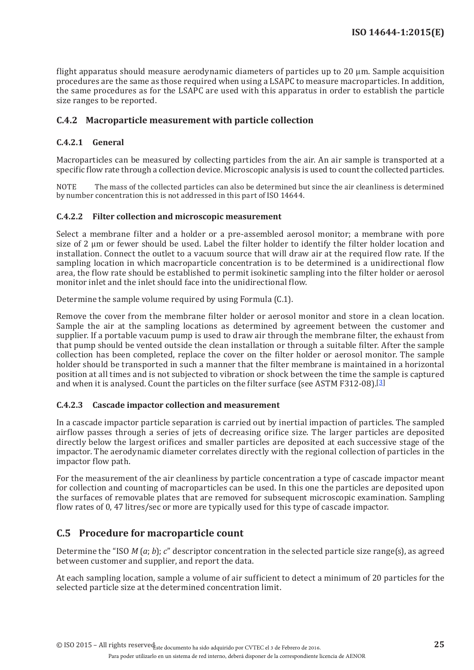flight apparatus should measure aerodynamic diameters of particles up to 20 µm. Sample acquisition procedures are the same as those required when using a LSAPC to measure macroparticles. In addition, the same procedures as for the LSAPC are used with this apparatus in order to establish the particle size ranges to be reported.

### **C.4.2 Macroparticle measurement with particle collection**

#### **C.4.2.1 General**

Macroparticles can be measured by collecting particles from the air. An air sample is transported at a specific flow rate through a collection device. Microscopic analysis is used to count the collected particles.

NOTE The mass of the collected particles can also be determined but since the air cleanliness is determined by number concentration this is not addressed in this part of ISO 14644.

#### <span id="page-30-0"></span>**C.4.2.2 Filter collection and microscopic measurement**

Select a membrane filter and a holder or a pre-assembled aerosol monitor; a membrane with pore size of 2 µm or fewer should be used. Label the filter holder to identify the filter holder location and installation. Connect the outlet to a vacuum source that will draw air at the required flow rate. If the sampling location in which macroparticle concentration is to be determined is a unidirectional flow area, the flow rate should be established to permit isokinetic sampling into the filter holder or aerosol monitor inlet and the inlet should face into the unidirectional flow.

Determine the sample volume required by using Formula (C.1).

Remove the cover from the membrane filter holder or aerosol monitor and store in a clean location. Sample the air at the sampling locations as determined by agreement between the customer and supplier. If a portable vacuum pump is used to draw air through the membrane filter, the exhaust from that pump should be vented outside the clean installation or through a suitable filter. After the sample collection has been completed, replace the cover on the filter holder or aerosol monitor. The sample holder should be transported in such a manner that the filter membrane is maintained in a horizontal position at all times and is not subjected to vibration or shock between the time the sample is captured and when it is analysed. Count the particles on the filter surface (see ASTM F312-08).[\[3](#page-42-3)]

#### <span id="page-30-1"></span>**C.4.2.3 Cascade impactor collection and measurement**

In a cascade impactor particle separation is carried out by inertial impaction of particles. The sampled airflow passes through a series of jets of decreasing orifice size. The larger particles are deposited directly below the largest orifices and smaller particles are deposited at each successive stage of the impactor. The aerodynamic diameter correlates directly with the regional collection of particles in the impactor flow path.

For the measurement of the air cleanliness by particle concentration a type of cascade impactor meant for collection and counting of macroparticles can be used. In this one the particles are deposited upon the surfaces of removable plates that are removed for subsequent microscopic examination. Sampling flow rates of 0, 47 litres/sec or more are typically used for this type of cascade impactor.

### **C.5 Procedure for macroparticle count**

Determine the "ISO *M* (*a*; *b*); *c*" descriptor concentration in the selected particle size range(s), as agreed between customer and supplier, and report the data.

At each sampling location, sample a volume of air sufficient to detect a minimum of 20 particles for the selected particle size at the determined concentration limit.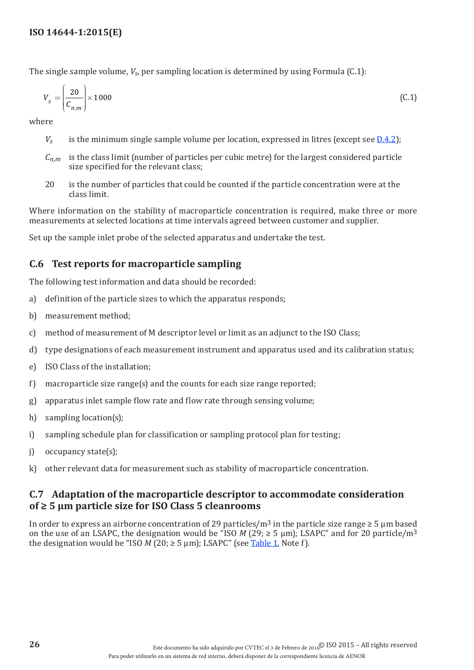The single sample volume, *Vs*, per sampling location is determined by using Formula (C.1):

$$
V_s = \left(\frac{20}{C_{n,m}}\right) \times 1000\tag{C.1}
$$

where

- *Vs* is the minimum single sample volume per location, expressed in litres (except see [D.4.2](#page-35-0));
- $C_{n,m}$  is the class limit (number of particles per cubic metre) for the largest considered particle size specified for the relevant class;
- 20 is the number of particles that could be counted if the particle concentration were at the class limit.

Where information on the stability of macroparticle concentration is required, make three or more measurements at selected locations at time intervals agreed between customer and supplier.

Set up the sample inlet probe of the selected apparatus and undertake the test.

## **C.6 Test reports for macroparticle sampling**

The following test information and data should be recorded:

- a) definition of the particle sizes to which the apparatus responds;
- b) measurement method;
- c) method of measurement of M descriptor level or limit as an adjunct to the ISO Class;
- d) type designations of each measurement instrument and apparatus used and its calibration status;
- e) ISO Class of the installation;
- f) macroparticle size range(s) and the counts for each size range reported;
- g) apparatus inlet sample flow rate and flow rate through sensing volume;
- h) sampling location(s);
- i) sampling schedule plan for classification or sampling protocol plan for testing;
- j) occupancy state(s);
- k) other relevant data for measurement such as stability of macroparticle concentration.

### <span id="page-31-0"></span>**C.7 Adaptation of the macroparticle descriptor to accommodate consideration of ≥ 5 µm particle size for ISO Class 5 cleanrooms**

In order to express an airborne concentration of 29 particles/m<sup>3</sup> in the particle size range  $\geq 5$  µm based on the use of an LSAPC, the designation would be "ISO *M* (29;  $\geq$  5 µm); LSAPC" and for 20 particle/m<sup>3</sup> the designation would be "ISO  $M$  (20;  $\geq$  5  $\mu$ m); LSAPC" (see [Table](#page-10-1) 1, Note f).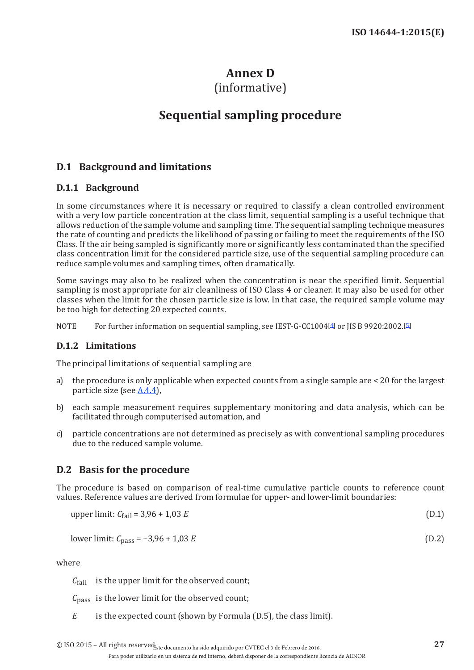## <span id="page-32-1"></span>**Annex D**

## (informative)

## **Sequential sampling procedure**

## <span id="page-32-0"></span>**D.1 Background and limitations**

## **D.1.1 Background**

In some circumstances where it is necessary or required to classify a clean controlled environment with a very low particle concentration at the class limit, sequential sampling is a useful technique that allows reduction of the sample volume and sampling time. The sequential sampling technique measures the rate of counting and predicts the likelihood of passing or failing to meet the requirements of the ISO Class. If the air being sampled is significantly more or significantly less contaminated than the specified class concentration limit for the considered particle size, use of the sequential sampling procedure can reduce sample volumes and sampling times, often dramatically.

Some savings may also to be realized when the concentration is near the specified limit. Sequential sampling is most appropriate for air cleanliness of ISO Class 4 or cleaner. It may also be used for other classes when the limit for the chosen particle size is low. In that case, the required sample volume may be too high for detecting 20 expected counts.

NOTE For further information on sequential sampling, see IEST-G-CC100[4](#page-42-4)[4] or JIS B 9920:2002.[[5](#page-42-5)]

### **D.1.2 Limitations**

The principal limitations of sequential sampling are

- a) the procedure is only applicable when expected counts from a single sample are < 20 for the largest particle size (see [A.4.4](#page-15-0)),
- b) each sample measurement requires supplementary monitoring and data analysis, which can be facilitated through computerised automation, and
- c) particle concentrations are not determined as precisely as with conventional sampling procedures due to the reduced sample volume.

## <span id="page-32-2"></span>**D.2 Basis for the procedure**

The procedure is based on comparison of real-time cumulative particle counts to reference count values. Reference values are derived from formulae for upper- and lower-limit boundaries:

upper limit: 
$$
C_{\text{fail}} = 3.96 + 1.03 E
$$
 (D.1)

lower limit: 
$$
C_{\text{pass}} = -3.96 + 1.03 E
$$
 (D.2)

where

*C*<sub>fail</sub> is the upper limit for the observed count;

 $C<sub>pass</sub>$  is the lower limit for the observed count;

*E* is the expected count (shown by Formula (D.5), the class limit).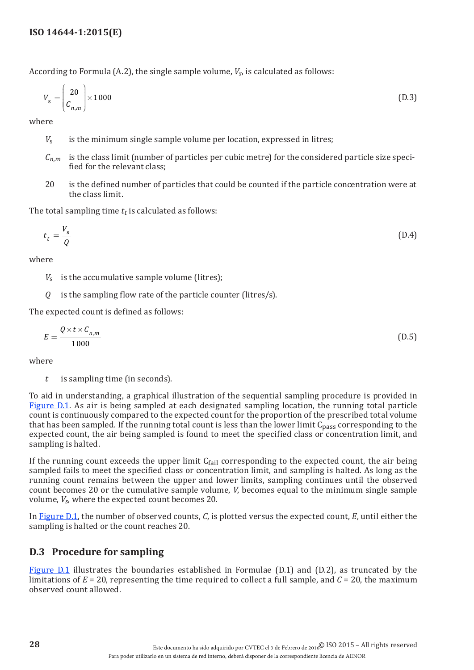According to Formula (A.2), the single sample volume, *Vs*, is calculated as follows:

$$
V_{\rm s} = \left(\frac{20}{C_{n,m}}\right) \times 1000\tag{D.3}
$$

where

- *V<sub>s</sub>* is the minimum single sample volume per location, expressed in litres;
- $C_{n,m}$  is the class limit (number of particles per cubic metre) for the considered particle size specified for the relevant class;
- 20 is the defined number of particles that could be counted if the particle concentration were at the class limit.

The total sampling time  $t_t$  is calculated as follows:

$$
t_t = \frac{V_s}{Q} \tag{D.4}
$$

where

- *V*<sup>s</sup> is the accumulative sample volume (litres);
- *Q* is the sampling flow rate of the particle counter (litres/s).

The expected count is defined as follows:

$$
E = \frac{Q \times t \times C_{n,m}}{1000}
$$
 (D.5)

where

*t* is sampling time (in seconds).

To aid in understanding, a graphical illustration of the sequential sampling procedure is provided in [Figure](#page-34-0) D.1. As air is being sampled at each designated sampling location, the running total particle count is continuously compared to the expected count for the proportion of the prescribed total volume that has been sampled. If the running total count is less than the lower limit  $C_{pass}$  corresponding to the expected count, the air being sampled is found to meet the specified class or concentration limit, and sampling is halted.

If the running count exceeds the upper limit  $C_{fail}$  corresponding to the expected count, the air being sampled fails to meet the specified class or concentration limit, and sampling is halted. As long as the running count remains between the upper and lower limits, sampling continues until the observed count becomes 20 or the cumulative sample volume, *V*, becomes equal to the minimum single sample volume, *Vs*, where the expected count becomes 20.

In [Figure](#page-34-0) D.1, the number of observed counts, *C*, is plotted versus the expected count, *E*, until either the sampling is halted or the count reaches 20.

## <span id="page-33-0"></span>**D.3 Procedure for sampling**

[Figure](#page-34-0) D.1 illustrates the boundaries established in Formulae (D.1) and (D.2), as truncated by the limitations of  $E = 20$ , representing the time required to collect a full sample, and  $C = 20$ , the maximum observed count allowed.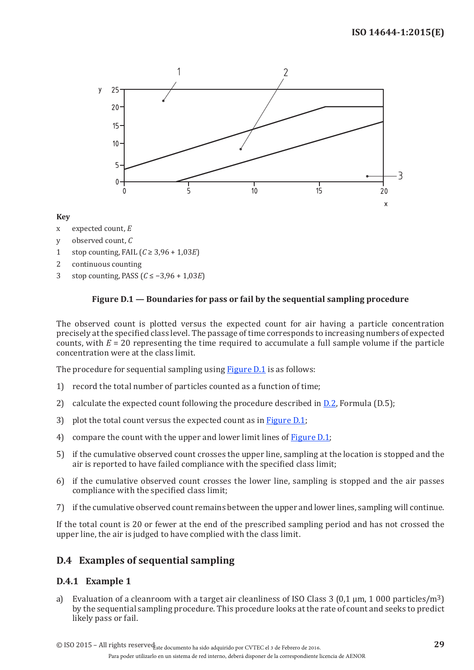

#### **Key**

- x expected count, *E*
- y observed count, *C*
- 1 stop counting, FAIL (*C* ≥ 3,96 + 1,03*E*)
- 2 continuous counting
- 3 stop counting, PASS (*C* ≤ −3,96 + 1,03*E*)

#### <span id="page-34-0"></span>**Figure D.1 — Boundaries for pass or fail by the sequential sampling procedure**

The observed count is plotted versus the expected count for air having a particle concentration precisely at the specified class level. The passage of time corresponds to increasing numbers of expected counts, with *E* = 20 representing the time required to accumulate a full sample volume if the particle concentration were at the class limit.

The procedure for sequential sampling using **Figure D.1** is as follows:

- 1) record the total number of particles counted as a function of time;
- 2) calculate the expected count following the procedure described in  $D.2$ , Formula (D.5);
- 3) plot the total count versus the expected count as in [Figure](#page-34-0) D.1;
- 4) compare the count with the upper and lower limit lines of [Figure](#page-34-0) D.1;
- 5) if the cumulative observed count crosses the upper line, sampling at the location is stopped and the air is reported to have failed compliance with the specified class limit;
- 6) if the cumulative observed count crosses the lower line, sampling is stopped and the air passes compliance with the specified class limit;
- 7) if the cumulative observed count remains between the upper and lower lines, sampling will continue.

If the total count is 20 or fewer at the end of the prescribed sampling period and has not crossed the upper line, the air is judged to have complied with the class limit.

### **D.4 Examples of sequential sampling**

#### **D.4.1 Example 1**

a) Evaluation of a cleanroom with a target air cleanliness of ISO Class 3 (0.1  $\mu$ m, 1 000 particles/m<sup>3</sup>) by the sequential sampling procedure. This procedure looks at the rate of count and seeks to predict likely pass or fail.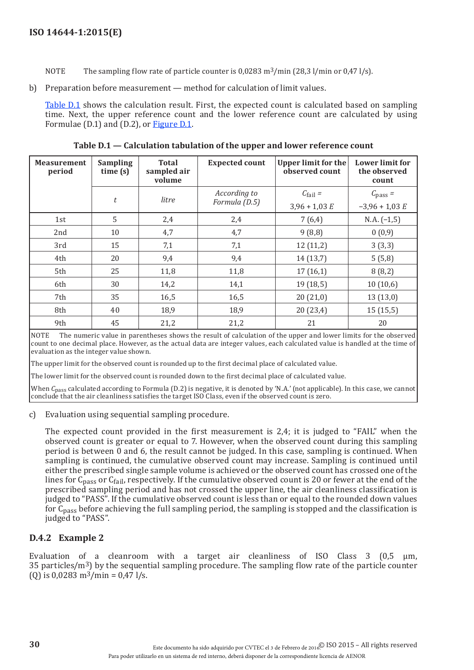NOTE The sampling flow rate of particle counter is  $0.0283 \text{ m}^3/\text{min}$  (28.3 l/min or 0.47 l/s).

b) Preparation before measurement — method for calculation of limit values.

[Table](#page-35-1) D.1 shows the calculation result. First, the expected count is calculated based on sampling time. Next, the upper reference count and the lower reference count are calculated by using Formulae (D.1) and (D.2), or **Figure D.1**.

| <b>Measurement</b><br>period | <b>Sampling</b><br>time(s) | <b>Total</b><br>sampled air<br>volume | <b>Expected count</b> | <b>Upper limit for the</b><br>observed count | <b>Lower limit for</b><br>the observed<br>count |
|------------------------------|----------------------------|---------------------------------------|-----------------------|----------------------------------------------|-------------------------------------------------|
|                              | $\boldsymbol{t}$           | litre                                 | According to          | $C_{\text{fail}}$ =                          | $C_{\text{pass}} =$                             |
|                              |                            |                                       | Formula (D.5)         | $3,96 + 1,03 E$                              | $-3,96 + 1,03 E$                                |
| 1st                          | 5                          | 2,4                                   | 2,4                   | 7(6,4)                                       | $N.A. (-1,5)$                                   |
| 2nd                          | 10                         | 4,7                                   | 4,7                   | 9(8,8)                                       | 0(0,9)                                          |
| 3rd                          | 15                         | 7,1                                   | 7,1                   | 12(11,2)                                     | 3(3,3)                                          |
| 4th                          | 20                         | 9,4                                   | 9,4                   | 14(13,7)                                     | 5(5,8)                                          |
| 5th                          | 25                         | 11,8                                  | 11,8                  | 17(16,1)                                     | 8(8,2)                                          |
| 6th                          | 30                         | 14,2                                  | 14,1                  | 19(18,5)                                     | 10(10,6)                                        |
| 7th                          | 35                         | 16,5                                  | 16,5                  | 20(21,0)                                     | 13(13,0)                                        |
| 8th                          | 40                         | 18,9                                  | 18,9                  | 20(23,4)                                     | 15(15,5)                                        |
| 9th                          | 45                         | 21,2                                  | 21,2                  | 21                                           | 20                                              |

<span id="page-35-1"></span>**Table D.1 — Calculation tabulation of the upper and lower reference count**

NOTE The numeric value in parentheses shows the result of calculation of the upper and lower limits for the observed count to one decimal place. However, as the actual data are integer values, each calculated value is handled at the time of evaluation as the integer value shown.

The upper limit for the observed count is rounded up to the first decimal place of calculated value.

The lower limit for the observed count is rounded down to the first decimal place of calculated value.

When *C*pass calculated according to Formula (D.2) is negative, it is denoted by 'N.A.' (not applicable). In this case, we cannot conclude that the air cleanliness satisfies the target ISO Class, even if the observed count is zero.

#### c) Evaluation using sequential sampling procedure.

The expected count provided in the first measurement is 2,4; it is judged to "FAIL" when the observed count is greater or equal to 7. However, when the observed count during this sampling period is between 0 and 6, the result cannot be judged. In this case, sampling is continued. When sampling is continued, the cumulative observed count may increase. Sampling is continued until either the prescribed single sample volume is achieved or the observed count has crossed one of the lines for  $C_{\text{pass}}$  or  $C_{\text{fail}}$ , respectively. If the cumulative observed count is 20 or fewer at the end of the prescribed sampling period and has not crossed the upper line, the air cleanliness classification is judged to "PASS". If the cumulative observed count is less than or equal to the rounded down values for Cpass before achieving the full sampling period, the sampling is stopped and the classification is judged to "PASS".

### <span id="page-35-0"></span>**D.4.2 Example 2**

Evaluation of a cleanroom with a target air cleanliness of ISO Class  $3 \times 0.5 \mu m$ , 35 particles/m3) by the sequential sampling procedure. The sampling flow rate of the particle counter (0) is  $0.0283 \text{ m}^3/\text{min} = 0.47 \text{ l/s}.$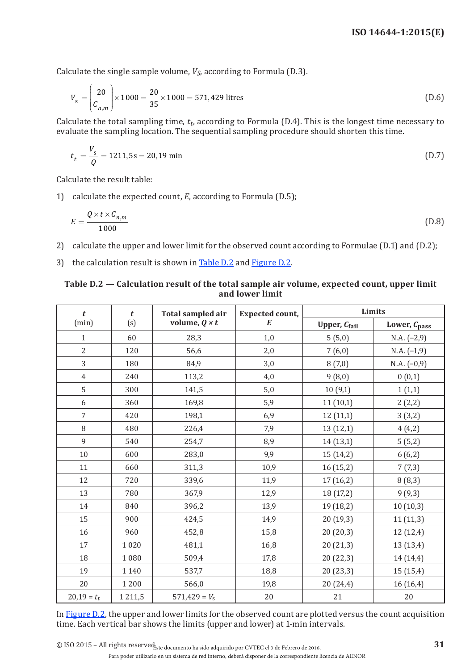Calculate the single sample volume,  $V_S$ , according to Formula (D.3).

$$
V_{\rm s} = \left(\frac{20}{C_{n,m}}\right) \times 1000 = \frac{20}{35} \times 1000 = 571,429 \text{ litres}
$$
 (D.6)

Calculate the total sampling time,  $t_t$ , according to Formula (D.4). This is the longest time necessary to evaluate the sampling location. The sequential sampling procedure should shorten this time.

$$
t_t = \frac{V_s}{Q} = 1211,5s = 20,19 \text{ min}
$$
 (D.7)

Calculate the result table:

1) calculate the expected count, *E*, according to Formula (D.5);

$$
E = \frac{Q \times t \times C_{n,m}}{1000} \tag{D.8}
$$

- 2) calculate the upper and lower limit for the observed count according to Formulae (D.1) and (D.2);
- 3) the calculation result is shown in [Table](#page-36-0) D.2 and [Figure](#page-37-0) D.2.

#### <span id="page-36-0"></span>**Table D.2 — Calculation result of the total sample air volume, expected count, upper limit and lower limit**

| t              | $\boldsymbol{t}$ | <b>Total sampled air</b> | <b>Expected count,</b> | Limits    |                   |  |
|----------------|------------------|--------------------------|------------------------|-----------|-------------------|--|
| (min)          | (s)              | volume, $Q \times t$     | E                      |           | Lower, $C_{pass}$ |  |
| $\mathbf{1}$   | 60               | 28,3                     | 1,0                    | 5(5,0)    | $N.A. (-2,9)$     |  |
| $\overline{2}$ | 120              | 56,6                     | 2,0                    | 7(6,0)    | $N.A. (-1,9)$     |  |
| 3              | 180              | 84,9                     | 3,0                    | 8(7,0)    | $N.A. (-0,9)$     |  |
| $\overline{4}$ | 240              | 113,2                    | 4,0                    | 9(8,0)    | 0(0,1)            |  |
| 5              | 300              | 141,5                    | 5,0                    | 10(9,1)   | 1(1,1)            |  |
| 6              | 360              | 169,8                    | 5,9                    | 11(10,1)  | 2(2,2)            |  |
| $\overline{7}$ | 420              | 198,1                    | 6,9                    | 12(11,1)  | 3(3,2)            |  |
| 8              | 480              | 226,4                    | 7,9                    | 13(12,1)  | 4(4,2)            |  |
| 9              | 540              | 254,7                    | 8,9                    | 14(13,1)  | 5(5,2)            |  |
| 10             | 600              | 283,0                    | 9,9                    | 15 (14,2) | 6(6,2)            |  |
| 11             | 660              | 311,3                    | 10,9                   | 16(15,2)  | 7(7,3)            |  |
| 12             | 720              | 339,6                    | 11,9                   | 17(16,2)  | 8(8,3)            |  |
| 13             | 780              | 367,9                    | 12,9                   | 18 (17,2) | 9(9,3)            |  |
| 14             | 840              | 396,2                    | 13,9                   | 19 (18,2) | 10(10,3)          |  |
| 15             | 900              | 424,5                    | 14,9                   | 20 (19,3) | 11(11,3)          |  |
| 16             | 960              | 452,8                    | 15,8                   | 20(20,3)  | 12 (12,4)         |  |
| 17             | 1 0 2 0          | 481,1                    | 16,8                   | 20 (21,3) | 13 (13,4)         |  |
| 18             | 1080             | 509,4                    | 17,8                   | 20 (22,3) | 14 (14,4)         |  |
| 19             | 1 1 4 0          | 537,7                    | 18,8                   | 20(23,3)  | 15(15,4)          |  |
| 20             | 1 2 0 0          | 566,0                    | 19,8                   | 20 (24,4) | 16(16,4)          |  |
| $20,19 = t_t$  | 1 2 1 1,5        | $571,429 = V_s$          | 20                     | 21        | $20\,$            |  |

In [Figure](#page-37-0) D.2, the upper and lower limits for the observed count are plotted versus the count acquisition time. Each vertical bar shows the limits (upper and lower) at 1-min intervals.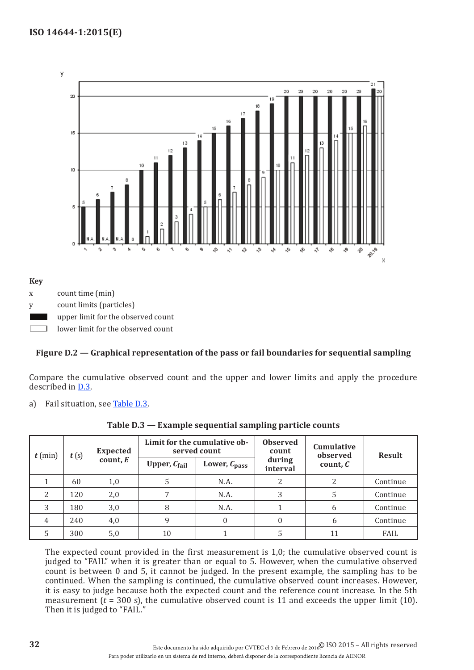

y count limits (particles)

**Key**

upper limit for the observed count

lower limit for the observed count

### <span id="page-37-0"></span>**Figure D.2 — Graphical representation of the pass or fail boundaries for sequential sampling**

Compare the cumulative observed count and the upper and lower limits and apply the procedure described in [D.3.](#page-33-0)

a) Fail situation, see [Table](#page-37-1) D.3.

| t(s)<br>$t$ (min) |          | <b>Expected</b>          | Limit for the cumulative ob-<br>served count |      | <b>Observed</b><br>count<br>during<br>interval | Cumulative<br>observed<br>count, $C$ | <b>Result</b> |
|-------------------|----------|--------------------------|----------------------------------------------|------|------------------------------------------------|--------------------------------------|---------------|
|                   | count, E | Upper, $C_{\text{fail}}$ | Lower, $C_{pass}$                            |      |                                                |                                      |               |
|                   | 60       | 1,0                      | 5                                            | N.A. | 2                                              |                                      | Continue      |
| $\overline{c}$    | 120      | 2,0                      |                                              | N.A. | 3                                              |                                      | Continue      |
| 3                 | 180      | 3,0                      | 8                                            | N.A. |                                                | 6                                    | Continue      |
| 4                 | 240      | 4,0                      | 9                                            |      | 0                                              | 6                                    | Continue      |
|                   | 300      | 5,0                      | 10                                           |      |                                                | 11                                   | FAIL          |

<span id="page-37-1"></span>**Table D.3 — Example sequential sampling particle counts**

The expected count provided in the first measurement is 1,0; the cumulative observed count is judged to "FAIL" when it is greater than or equal to 5. However, when the cumulative observed count is between 0 and 5, it cannot be judged. In the present example, the sampling has to be continued. When the sampling is continued, the cumulative observed count increases. However, it is easy to judge because both the expected count and the reference count increase. In the 5th measurement  $(t = 300 \text{ s})$ , the cumulative observed count is 11 and exceeds the upper limit (10). Then it is judged to "FAIL."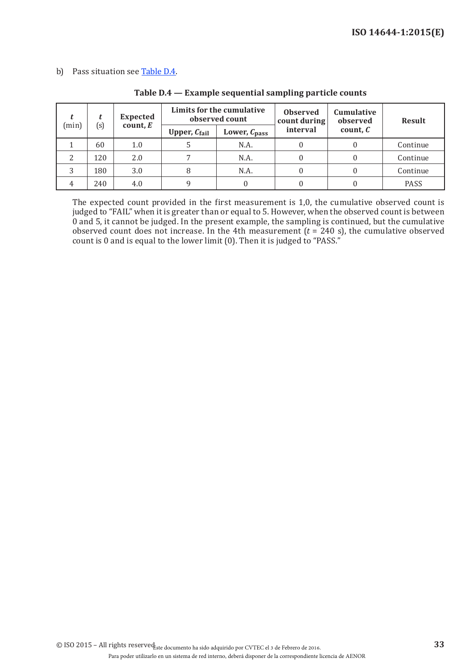#### b) Pass situation see [Table](#page-38-0) D.4.

|   |                            | <b>Expected</b> | Limits for the cumulative<br>observed count |                          | <b>Observed</b><br>count during | Cumulative<br>observed | <b>Result</b> |
|---|----------------------------|-----------------|---------------------------------------------|--------------------------|---------------------------------|------------------------|---------------|
|   | (s)<br>count, $E$<br>(min) |                 | Upper, $C_{\text{fail}}$                    | Lower, $C_{\text{pass}}$ | interval                        | count, $C$             |               |
|   | 60                         | 1.0             |                                             | N.A.                     |                                 |                        | Continue      |
| ി | 120                        | 2.0             |                                             | N.A.                     |                                 |                        | Continue      |
|   | 180                        | 3.0             |                                             | N.A.                     |                                 |                        | Continue      |
|   | 240                        | 4.0             |                                             |                          |                                 |                        | PASS          |

#### <span id="page-38-0"></span>**Table D.4 — Example sequential sampling particle counts**

The expected count provided in the first measurement is 1,0, the cumulative observed count is judged to "FAIL" when it is greater than or equal to 5. However, when the observed count is between 0 and 5, it cannot be judged. In the present example, the sampling is continued, but the cumulative observed count does not increase. In the 4th measurement  $(t = 240 \text{ s})$ , the cumulative observed count is 0 and is equal to the lower limit  $(0)$ . Then it is judged to "PASS."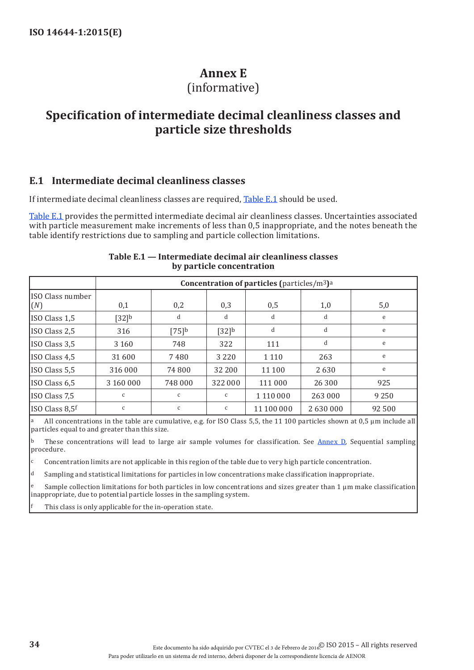## <span id="page-39-2"></span>**Annex E**

## (informative)

## <span id="page-39-0"></span>**Specification of intermediate decimal cleanliness classes and particle size thresholds**

#### <span id="page-39-3"></span>**E.1 Intermediate decimal cleanliness classes**

If intermediate decimal cleanliness classes are required, [Table](#page-39-1) E.1 should be used.

[Table](#page-39-1) E.1 provides the permitted intermediate decimal air cleanliness classes. Uncertainties associated with particle measurement make increments of less than 0,5 inappropriate, and the notes beneath the table identify restrictions due to sampling and particle collection limitations.

|                         |              | <b>Concentration of particles (particles/m<sup>3</sup>)</b> a |              |            |         |         |
|-------------------------|--------------|---------------------------------------------------------------|--------------|------------|---------|---------|
| ISO Class number<br>(N) | 0,1          | 0,2                                                           | 0,3          | 0,5        | 1,0     | 5,0     |
| ISO Class 1,5           | $[32]^{b}$   | d                                                             | d            | d          | d       | e       |
| ISO Class 2,5           | 316          | [75]                                                          | $[32]^{b}$   | d          | d       | e       |
| ISO Class 3,5           | 3 1 6 0      | 748                                                           | 322          | 111        | d       | e       |
| ISO Class 4,5           | 31 600       | 7480                                                          | 3 2 2 0      | 1 1 1 0    | 263     | e       |
| ISO Class 5,5           | 316 000      | 74 800                                                        | 32 200       | 11 100     | 2630    | e       |
| ISO Class 6,5           | 3 160 000    | 748 000                                                       | 322 000      | 111 000    | 26 300  | 925     |
| ISO Class 7,5           | $\mathsf{C}$ | $\mathsf{C}$                                                  | $\mathsf{C}$ | 1 110 000  | 263 000 | 9 2 5 0 |
| ISO Class 8,5f          | C            | C                                                             | C            | 11 100 000 | 2630000 | 92 500  |

#### <span id="page-39-1"></span>**Table E.1 — Intermediate decimal air cleanliness classes by particle concentration**

All concentrations in the table are cumulative, e.g. for ISO Class 5,5, the 11 100 particles shown at 0,5  $\mu$ m include all particles equal to and greater than this size.

 $b$  These concentrations will lead to large air sample volumes for classification. See [Annex](#page-32-1) D, Sequential sampling procedure.

 $c$  Concentration limits are not applicable in this region of the table due to very high particle concentration.

d Sampling and statistical limitations for particles in low concentrations make classification inappropriate.

Sample collection limitations for both particles in low concentrations and sizes greater than  $1 \mu m$  make classification inappropriate, due to potential particle losses in the sampling system.

This class is only applicable for the in-operation state.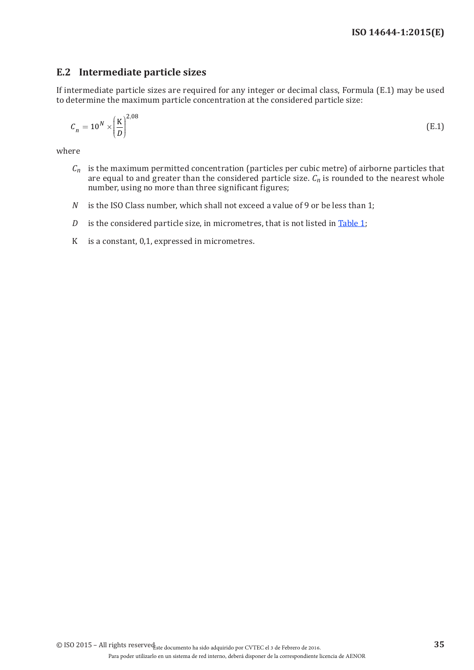## **E.2 Intermediate particle sizes**

If intermediate particle sizes are required for any integer or decimal class, Formula (E.1) may be used to determine the maximum particle concentration at the considered particle size:

$$
C_n = 10^N \times \left(\frac{\text{K}}{D}\right)^{2.08} \tag{E.1}
$$

where

- $C_n$  is the maximum permitted concentration (particles per cubic metre) of airborne particles that are equal to and greater than the considered particle size.  $C_n$  is rounded to the nearest whole number, using no more than three significant figures;
- *N* is the ISO Class number, which shall not exceed a value of 9 or be less than 1;
- *D* is the considered particle size, in micrometres, that is not listed in [Table](#page-10-1) 1;
- K is a constant, 0,1, expressed in micrometres.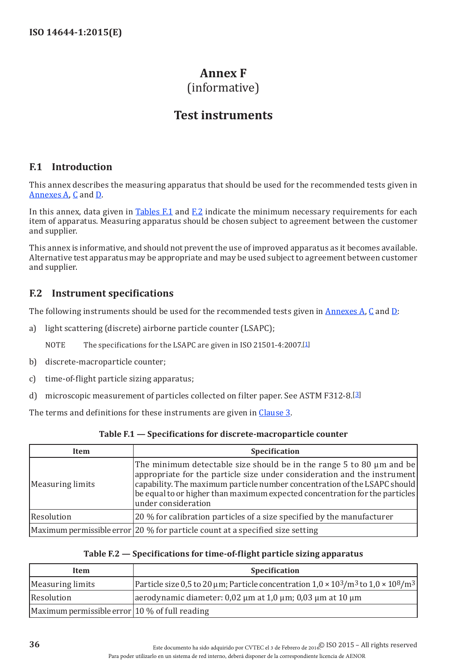## <span id="page-41-1"></span>**Annex F**  (informative)

## **Test instruments**

## <span id="page-41-0"></span>**F.1 Introduction**

This annex describes the measuring apparatus that should be used for the recommended tests given in [Annexes](#page-13-1) A, [C](#page-27-1) and [D](#page-32-1).

In this annex, data given in [Tables](#page-41-2)  $F.1$  and  $F.2$  indicate the minimum necessary requirements for each item of apparatus. Measuring apparatus should be chosen subject to agreement between the customer and supplier.

This annex is informative, and should not prevent the use of improved apparatus as it becomes available. Alternative test apparatus may be appropriate and may be used subject to agreement between customer and supplier.

## **F.2 Instrument specifications**

The following instruments should be used for the recommended tests given in [Annexes](#page-13-1) A, [C](#page-27-1) and [D](#page-32-1):

a) light scattering (discrete) airborne particle counter (LSAPC);

NOTE The specifications for the LSAPC are given in ISO 21501-4:2007.[\[1](#page-42-1)]

- b) discrete-macroparticle counter;
- c) time-of-flight particle sizing apparatus;
- d) microscopic measurement of particles collected on filter paper. See ASTM F312-8.[\[3](#page-42-3)]

The terms and definitions for these instruments are given in [Clause 3](#page-6-1).

| Item              | <b>Specification</b>                                                                                                                                                                                                                                                                                                                |
|-------------------|-------------------------------------------------------------------------------------------------------------------------------------------------------------------------------------------------------------------------------------------------------------------------------------------------------------------------------------|
| Measuring limits  | The minimum detectable size should be in the range 5 to 80 µm and be<br>appropriate for the particle size under consideration and the instrument<br>capability. The maximum particle number concentration of the LSAPC should<br>be equal to or higher than maximum expected concentration for the particles<br>under consideration |
| <b>Resolution</b> | 20 % for calibration particles of a size specified by the manufacturer                                                                                                                                                                                                                                                              |
|                   | Maximum permissible error $20\%$ for particle count at a specified size setting                                                                                                                                                                                                                                                     |

<span id="page-41-2"></span>**Table F.1 — Specifications for discrete-macroparticle counter**

#### <span id="page-41-3"></span>**Table F.2 — Specifications for time-of-flight particle sizing apparatus**

| Item                                                           | <b>Specification</b>                                                                                                      |
|----------------------------------------------------------------|---------------------------------------------------------------------------------------------------------------------------|
| Measuring limits                                               | Particle size 0,5 to 20 µm; Particle concentration $1,0 \times 10^3$ /m <sup>3</sup> to $1,0 \times 10^8$ /m <sup>3</sup> |
| Resolution                                                     | aerodynamic diameter: $0.02 \mu m$ at $1.0 \mu m$ ; $0.03 \mu m$ at $10 \mu m$                                            |
| $\vert$ Maximum permissible error $\vert$ 10 % of full reading |                                                                                                                           |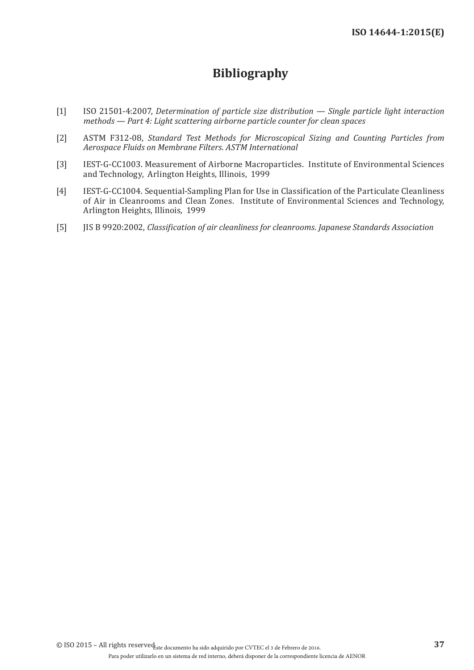## **Bibliography**

- <span id="page-42-1"></span><span id="page-42-0"></span>[1] ISO 21501-4:2007, *Determination of particle size distribution — Single particle light interaction methods — Part 4: Light scattering airborne particle counter for clean spaces*
- <span id="page-42-2"></span>[2] ASTM F312-08, *Standard Test Methods for Microscopical Sizing and Counting Particles from Aerospace Fluids on Membrane Filters. ASTM International*
- <span id="page-42-3"></span>[3] IEST-G-CC1003. Measurement of Airborne Macroparticles. Institute of Environmental Sciences and Technology, Arlington Heights, Illinois, 1999
- <span id="page-42-4"></span>[4] IEST-G-CC1004. Sequential-Sampling Plan for Use in Classification of the Particulate Cleanliness of Air in Cleanrooms and Clean Zones. Institute of Environmental Sciences and Technology, Arlington Heights, Illinois, 1999
- <span id="page-42-5"></span>[5] JIS B 9920:2002, *Classification of air cleanliness for cleanrooms. Japanese Standards Association*